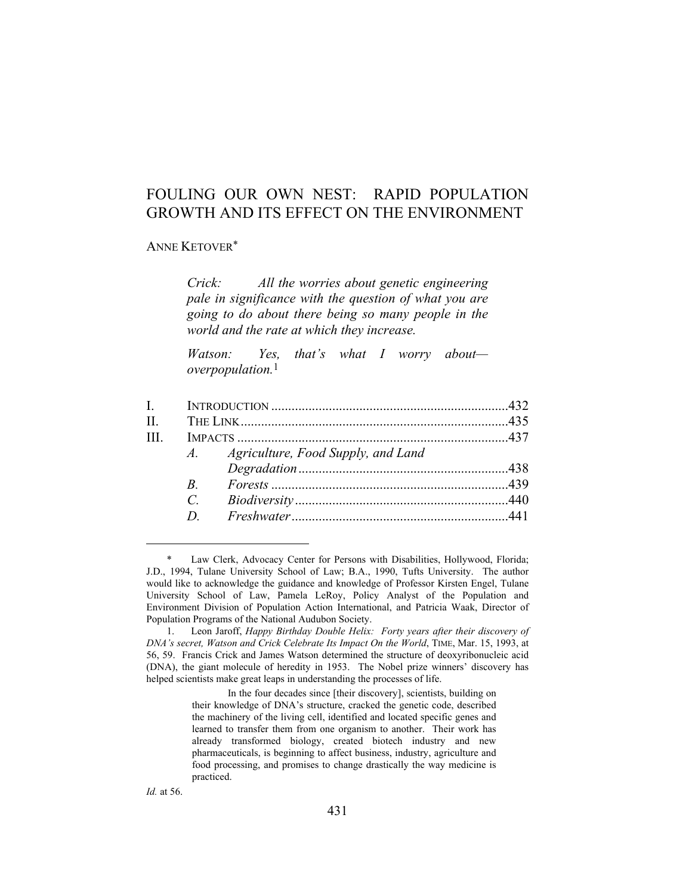# FOULING OUR OWN NEST: RAPID POPULATION GROWTH AND ITS EFFECT ON THE ENVIRONMENT

#### ANNE KETOVER\*

*Crick: All the worries about genetic engineering pale in significance with the question of what you are going to do about there being so many people in the world and the rate at which they increase.* 

*Watson: Yes, that's what I worry about overpopulation.*1

| $\mathbf{L}$ |   |                                       |  |
|--------------|---|---------------------------------------|--|
| $\Pi$ .      |   |                                       |  |
| III          |   |                                       |  |
|              |   | A. Agriculture, Food Supply, and Land |  |
|              |   |                                       |  |
|              | R |                                       |  |
|              |   |                                       |  |
|              |   |                                       |  |
|              |   |                                       |  |

 <sup>\*</sup> Law Clerk, Advocacy Center for Persons with Disabilities, Hollywood, Florida; J.D., 1994, Tulane University School of Law; B.A., 1990, Tufts University. The author would like to acknowledge the guidance and knowledge of Professor Kirsten Engel, Tulane University School of Law, Pamela LeRoy, Policy Analyst of the Population and Environment Division of Population Action International, and Patricia Waak, Director of Population Programs of the National Audubon Society.

 <sup>1.</sup> Leon Jaroff, *Happy Birthday Double Helix: Forty years after their discovery of DNA's secret, Watson and Crick Celebrate Its Impact On the World*, TIME, Mar. 15, 1993, at 56, 59. Francis Crick and James Watson determined the structure of deoxyribonucleic acid (DNA), the giant molecule of heredity in 1953. The Nobel prize winners' discovery has helped scientists make great leaps in understanding the processes of life.

In the four decades since [their discovery], scientists, building on their knowledge of DNA's structure, cracked the genetic code, described the machinery of the living cell, identified and located specific genes and learned to transfer them from one organism to another. Their work has already transformed biology, created biotech industry and new pharmaceuticals, is beginning to affect business, industry, agriculture and food processing, and promises to change drastically the way medicine is practiced.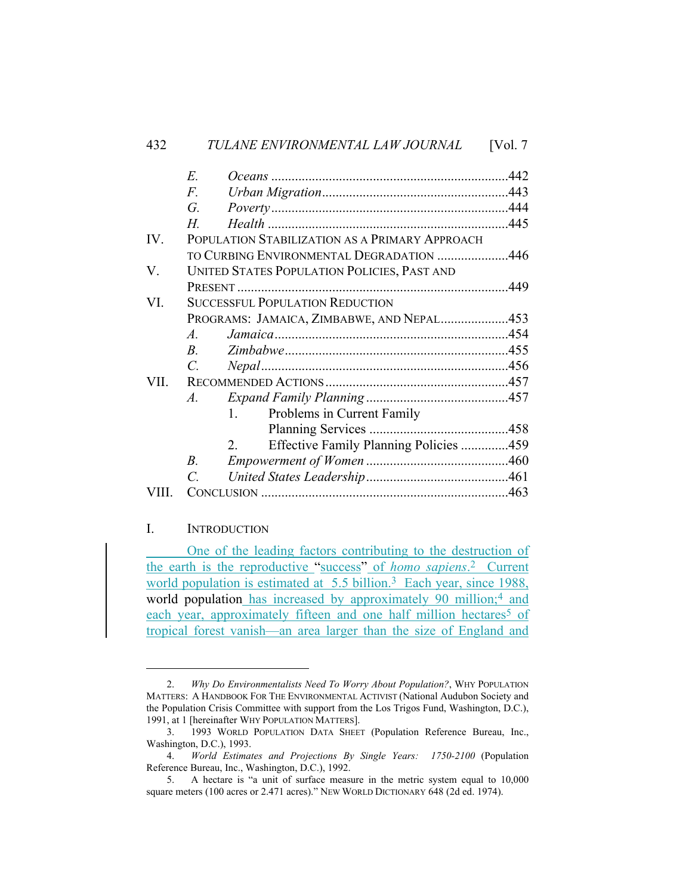|       | E.                                          |                                                |  |
|-------|---------------------------------------------|------------------------------------------------|--|
|       | F.                                          |                                                |  |
|       | G.                                          |                                                |  |
|       | Н.                                          |                                                |  |
| IV.   |                                             | POPULATION STABILIZATION AS A PRIMARY APPROACH |  |
|       | TO CURBING ENVIRONMENTAL DEGRADATION 446    |                                                |  |
| V.    | UNITED STATES POPULATION POLICIES, PAST AND |                                                |  |
|       |                                             |                                                |  |
| VI.   | <b>SUCCESSFUL POPULATION REDUCTION</b>      |                                                |  |
|       | PROGRAMS: JAMAICA, ZIMBABWE, AND NEPAL453   |                                                |  |
|       | $A_{\cdot}$                                 |                                                |  |
|       | $B_{\cdot}$                                 |                                                |  |
|       | $C_{\cdot}$                                 |                                                |  |
| VII.  |                                             |                                                |  |
|       | A.                                          |                                                |  |
|       | 1.                                          | Problems in Current Family                     |  |
|       |                                             |                                                |  |
|       | 2.                                          | Effective Family Planning Policies 459         |  |
|       | $B_{\cdot}$                                 |                                                |  |
|       | $\mathcal{C}$                               |                                                |  |
| VIII. |                                             |                                                |  |

# I. INTRODUCTION

 One of the leading factors contributing to the destruction of the earth is the reproductive "success" of *homo sapiens*.2 Current world population is estimated at 5.5 billion.<sup>3</sup> Each year, since 1988, world population has increased by approximately 90 million;<sup>4</sup> and each year, approximately fifteen and one half million hectares<sup>5</sup> of tropical forest vanish—an area larger than the size of England and

 <sup>2.</sup> *Why Do Environmentalists Need To Worry About Population?*, WHY POPULATION MATTERS: A HANDBOOK FOR THE ENVIRONMENTAL ACTIVIST (National Audubon Society and the Population Crisis Committee with support from the Los Trigos Fund, Washington, D.C.), 1991, at 1 [hereinafter WHY POPULATION MATTERS].

 <sup>3. 1993</sup> WORLD POPULATION DATA SHEET (Population Reference Bureau, Inc., Washington, D.C.), 1993.

 <sup>4.</sup> *World Estimates and Projections By Single Years: 1750-2100* (Population Reference Bureau, Inc., Washington, D.C.), 1992.

 <sup>5.</sup> A hectare is "a unit of surface measure in the metric system equal to 10,000 square meters (100 acres or 2.471 acres)." NEW WORLD DICTIONARY 648 (2d ed. 1974).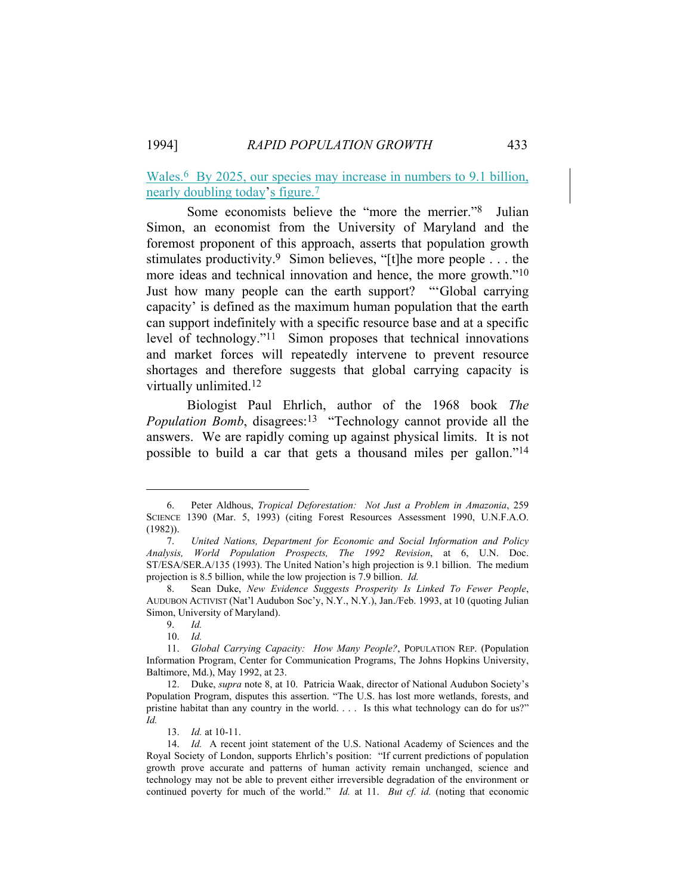Wales.<sup>6</sup> By 2025, our species may increase in numbers to 9.1 billion, nearly doubling today's figure.7

 Some economists believe the "more the merrier."8 Julian Simon, an economist from the University of Maryland and the foremost proponent of this approach, asserts that population growth stimulates productivity.9 Simon believes, "[t]he more people . . . the more ideas and technical innovation and hence, the more growth."10 Just how many people can the earth support? "'Global carrying capacity' is defined as the maximum human population that the earth can support indefinitely with a specific resource base and at a specific level of technology."11 Simon proposes that technical innovations and market forces will repeatedly intervene to prevent resource shortages and therefore suggests that global carrying capacity is virtually unlimited.12

 Biologist Paul Ehrlich, author of the 1968 book *The Population Bomb*, disagrees:<sup>13</sup> "Technology cannot provide all the answers. We are rapidly coming up against physical limits. It is not possible to build a car that gets a thousand miles per gallon."14

 <sup>6.</sup> Peter Aldhous, *Tropical Deforestation: Not Just a Problem in Amazonia*, 259 SCIENCE 1390 (Mar. 5, 1993) (citing Forest Resources Assessment 1990, U.N.F.A.O. (1982)).

 <sup>7.</sup> *United Nations, Department for Economic and Social Information and Policy Analysis, World Population Prospects, The 1992 Revision*, at 6, U.N. Doc. ST/ESA/SER.A/135 (1993). The United Nation's high projection is 9.1 billion. The medium projection is 8.5 billion, while the low projection is 7.9 billion. *Id.*

 <sup>8.</sup> Sean Duke, *New Evidence Suggests Prosperity Is Linked To Fewer People*, AUDUBON ACTIVIST (Nat'l Audubon Soc'y, N.Y., N.Y.), Jan./Feb. 1993, at 10 (quoting Julian Simon, University of Maryland).

 <sup>9.</sup> *Id.*

 <sup>10.</sup> *Id.*

 <sup>11.</sup> *Global Carrying Capacity: How Many People?*, POPULATION REP. (Population Information Program, Center for Communication Programs, The Johns Hopkins University, Baltimore, Md.), May 1992, at 23.

 <sup>12.</sup> Duke, *supra* note 8, at 10. Patricia Waak, director of National Audubon Society's Population Program, disputes this assertion. "The U.S. has lost more wetlands, forests, and pristine habitat than any country in the world. . . . Is this what technology can do for us?" *Id.*

 <sup>13.</sup> *Id.* at 10-11.

 <sup>14.</sup> *Id.* A recent joint statement of the U.S. National Academy of Sciences and the Royal Society of London, supports Ehrlich's position: "If current predictions of population growth prove accurate and patterns of human activity remain unchanged, science and technology may not be able to prevent either irreversible degradation of the environment or continued poverty for much of the world." *Id.* at 11. *But cf. id.* (noting that economic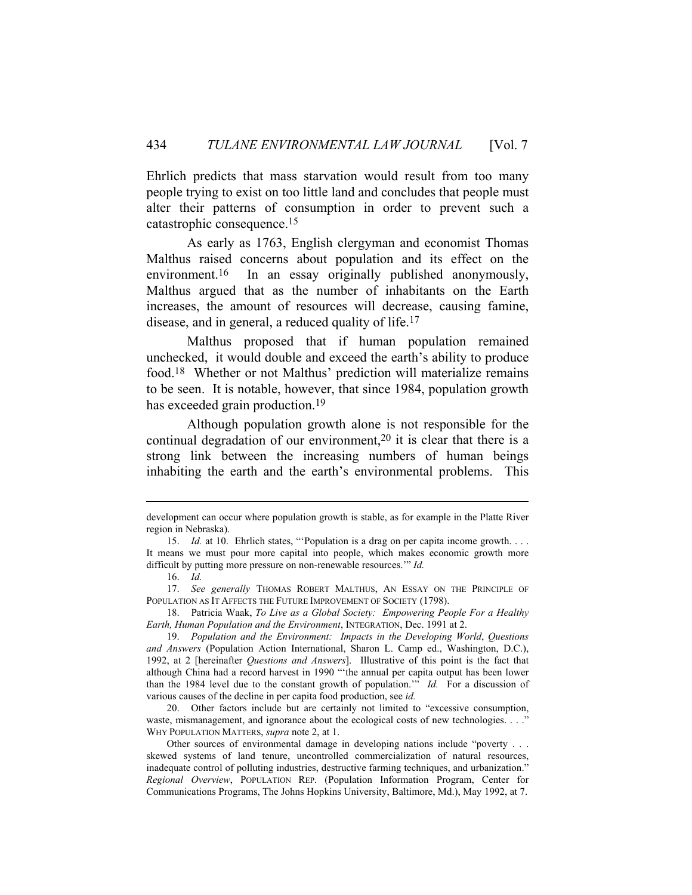Ehrlich predicts that mass starvation would result from too many people trying to exist on too little land and concludes that people must alter their patterns of consumption in order to prevent such a catastrophic consequence.15

 As early as 1763, English clergyman and economist Thomas Malthus raised concerns about population and its effect on the environment.16 In an essay originally published anonymously, Malthus argued that as the number of inhabitants on the Earth increases, the amount of resources will decrease, causing famine, disease, and in general, a reduced quality of life.17

 Malthus proposed that if human population remained unchecked, it would double and exceed the earth's ability to produce food.18 Whether or not Malthus' prediction will materialize remains to be seen. It is notable, however, that since 1984, population growth has exceeded grain production.<sup>19</sup>

 Although population growth alone is not responsible for the continual degradation of our environment,<sup>20</sup> it is clear that there is a strong link between the increasing numbers of human beings inhabiting the earth and the earth's environmental problems. This

development can occur where population growth is stable, as for example in the Platte River region in Nebraska).

 <sup>15.</sup> *Id.* at 10. Ehrlich states, "'Population is a drag on per capita income growth. . . . It means we must pour more capital into people, which makes economic growth more difficult by putting more pressure on non-renewable resources.'" *Id.*

 <sup>16.</sup> *Id.*

 <sup>17.</sup> *See generally* THOMAS ROBERT MALTHUS, AN ESSAY ON THE PRINCIPLE OF POPULATION AS IT AFFECTS THE FUTURE IMPROVEMENT OF SOCIETY (1798).

 <sup>18.</sup> Patricia Waak, *To Live as a Global Society: Empowering People For a Healthy Earth, Human Population and the Environment*, INTEGRATION, Dec. 1991 at 2.

 <sup>19.</sup> *Population and the Environment: Impacts in the Developing World*, *Questions and Answers* (Population Action International, Sharon L. Camp ed., Washington, D.C.), 1992, at 2 [hereinafter *Questions and Answers*]. Illustrative of this point is the fact that although China had a record harvest in 1990 "'the annual per capita output has been lower than the 1984 level due to the constant growth of population.'" *Id.* For a discussion of various causes of the decline in per capita food production, see *id.*

 <sup>20.</sup> Other factors include but are certainly not limited to "excessive consumption, waste, mismanagement, and ignorance about the ecological costs of new technologies. . . ." WHY POPULATION MATTERS, *supra* note 2, at 1.

Other sources of environmental damage in developing nations include "poverty . . . skewed systems of land tenure, uncontrolled commercialization of natural resources, inadequate control of polluting industries, destructive farming techniques, and urbanization." *Regional Overview*, POPULATION REP. (Population Information Program, Center for Communications Programs, The Johns Hopkins University, Baltimore, Md.), May 1992, at 7.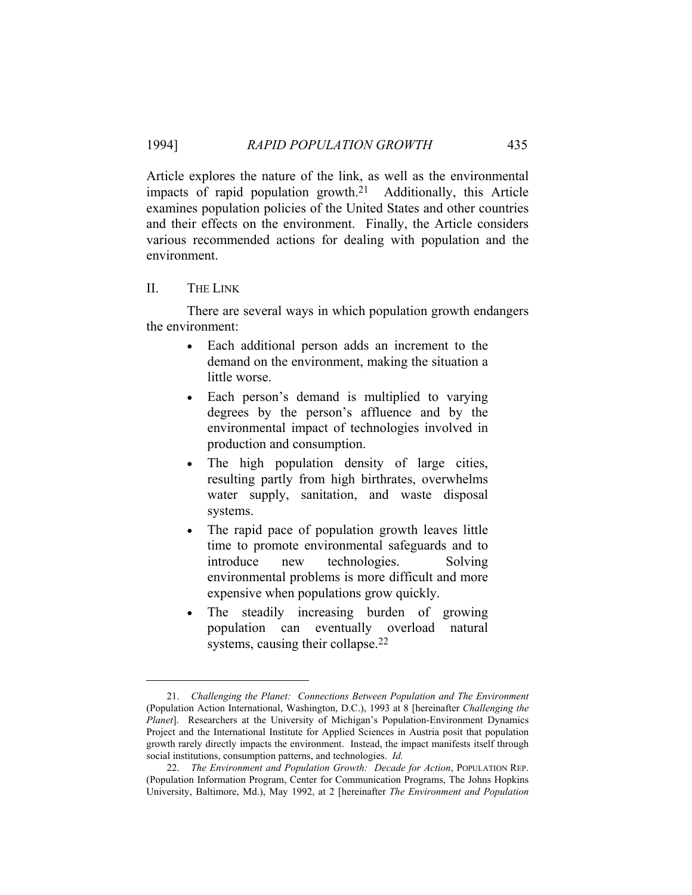Article explores the nature of the link, as well as the environmental impacts of rapid population growth.21 Additionally, this Article examines population policies of the United States and other countries and their effects on the environment. Finally, the Article considers various recommended actions for dealing with population and the environment.

### II. THE LINK

 There are several ways in which population growth endangers the environment:

- Each additional person adds an increment to the demand on the environment, making the situation a little worse.
- Each person's demand is multiplied to varying degrees by the person's affluence and by the environmental impact of technologies involved in production and consumption.
- The high population density of large cities, resulting partly from high birthrates, overwhelms water supply, sanitation, and waste disposal systems.
- The rapid pace of population growth leaves little time to promote environmental safeguards and to introduce new technologies. Solving environmental problems is more difficult and more expensive when populations grow quickly.
- The steadily increasing burden of growing population can eventually overload natural systems, causing their collapse.<sup>22</sup>

 <sup>21.</sup> *Challenging the Planet: Connections Between Population and The Environment* (Population Action International, Washington, D.C.), 1993 at 8 [hereinafter *Challenging the Planet*]. Researchers at the University of Michigan's Population-Environment Dynamics Project and the International Institute for Applied Sciences in Austria posit that population growth rarely directly impacts the environment. Instead, the impact manifests itself through social institutions, consumption patterns, and technologies. *Id.*

 <sup>22.</sup> *The Environment and Population Growth: Decade for Action*, POPULATION REP. (Population Information Program, Center for Communication Programs, The Johns Hopkins University, Baltimore, Md.), May 1992, at 2 [hereinafter *The Environment and Population*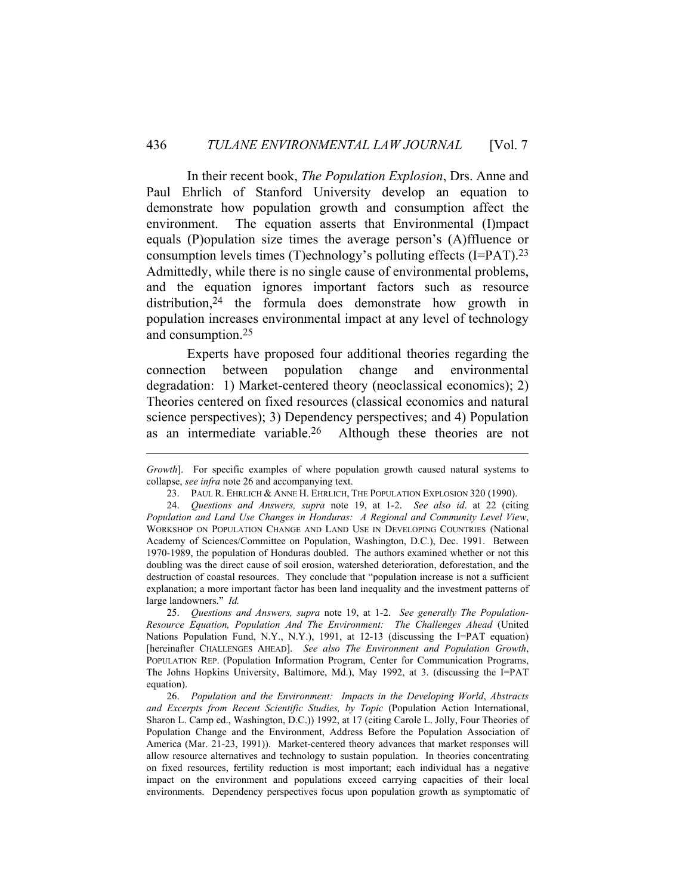In their recent book, *The Population Explosion*, Drs. Anne and Paul Ehrlich of Stanford University develop an equation to demonstrate how population growth and consumption affect the environment. The equation asserts that Environmental (I)mpact equals (P)opulation size times the average person's (A)ffluence or consumption levels times (T)echnology's polluting effects (I=PAT).23 Admittedly, while there is no single cause of environmental problems, and the equation ignores important factors such as resource distribution,<sup>24</sup> the formula does demonstrate how growth in population increases environmental impact at any level of technology and consumption.25

 Experts have proposed four additional theories regarding the connection between population change and environmental degradation: 1) Market-centered theory (neoclassical economics); 2) Theories centered on fixed resources (classical economics and natural science perspectives); 3) Dependency perspectives; and 4) Population as an intermediate variable.26 Although these theories are not

 25. *Questions and Answers, supra* note 19, at 1-2. *See generally The Population-Resource Equation, Population And The Environment: The Challenges Ahead* (United Nations Population Fund, N.Y., N.Y.), 1991, at 12-13 (discussing the I=PAT equation) [hereinafter CHALLENGES AHEAD]. *See also The Environment and Population Growth*, POPULATION REP. (Population Information Program, Center for Communication Programs, The Johns Hopkins University, Baltimore, Md.), May 1992, at 3. (discussing the I=PAT equation).

 26. *Population and the Environment: Impacts in the Developing World*, *Abstracts and Excerpts from Recent Scientific Studies, by Topic* (Population Action International, Sharon L. Camp ed., Washington, D.C.)) 1992, at 17 (citing Carole L. Jolly, Four Theories of Population Change and the Environment, Address Before the Population Association of America (Mar. 21-23, 1991)). Market-centered theory advances that market responses will allow resource alternatives and technology to sustain population. In theories concentrating on fixed resources, fertility reduction is most important; each individual has a negative impact on the environment and populations exceed carrying capacities of their local environments. Dependency perspectives focus upon population growth as symptomatic of

*Growth*]. For specific examples of where population growth caused natural systems to collapse, *see infra* note 26 and accompanying text.

<sup>23.</sup> PAUL R. EHRLICH & ANNE H. EHRLICH, THE POPULATION EXPLOSION 320 (1990).

 <sup>24.</sup> *Questions and Answers, supra* note 19, at 1-2. *See also id*. at 22 (citing *Population and Land Use Changes in Honduras: A Regional and Community Level View*, WORKSHOP ON POPULATION CHANGE AND LAND USE IN DEVELOPING COUNTRIES (National Academy of Sciences/Committee on Population, Washington, D.C.), Dec. 1991. Between 1970-1989, the population of Honduras doubled. The authors examined whether or not this doubling was the direct cause of soil erosion, watershed deterioration, deforestation, and the destruction of coastal resources. They conclude that "population increase is not a sufficient explanation; a more important factor has been land inequality and the investment patterns of large landowners." *Id.*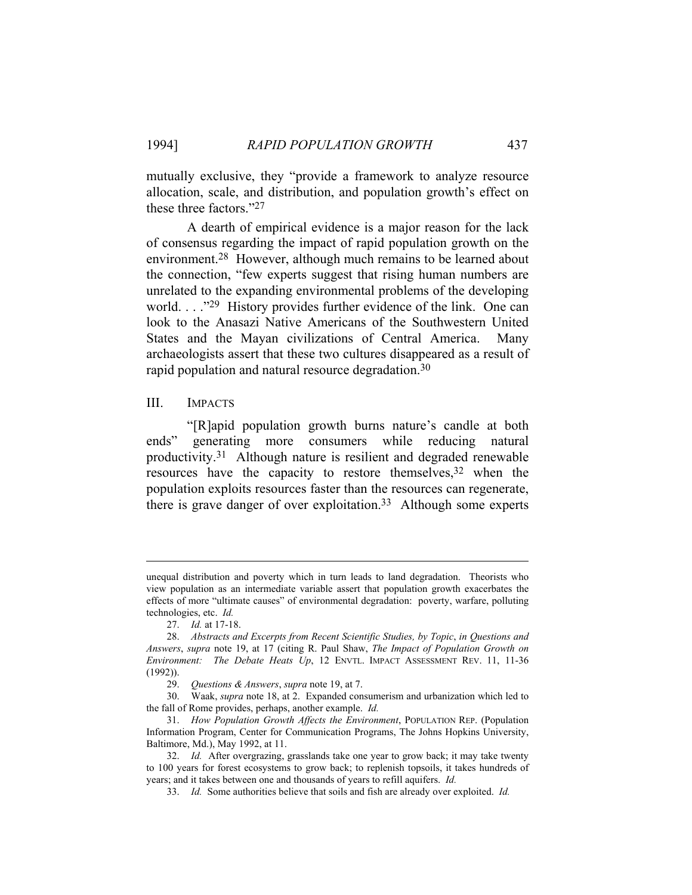mutually exclusive, they "provide a framework to analyze resource allocation, scale, and distribution, and population growth's effect on these three factors."27

 A dearth of empirical evidence is a major reason for the lack of consensus regarding the impact of rapid population growth on the environment.28 However, although much remains to be learned about the connection, "few experts suggest that rising human numbers are unrelated to the expanding environmental problems of the developing world. . . . .<sup>29</sup> History provides further evidence of the link. One can look to the Anasazi Native Americans of the Southwestern United States and the Mayan civilizations of Central America. Many archaeologists assert that these two cultures disappeared as a result of rapid population and natural resource degradation.30

### III. IMPACTS

 "[R]apid population growth burns nature's candle at both ends" generating more consumers while reducing natural productivity.31 Although nature is resilient and degraded renewable resources have the capacity to restore themselves,<sup>32</sup> when the population exploits resources faster than the resources can regenerate, there is grave danger of over exploitation.<sup>33</sup> Although some experts

unequal distribution and poverty which in turn leads to land degradation. Theorists who view population as an intermediate variable assert that population growth exacerbates the effects of more "ultimate causes" of environmental degradation: poverty, warfare, polluting technologies, etc. *Id.*

 <sup>27.</sup> *Id.* at 17-18.

 <sup>28.</sup> *Abstracts and Excerpts from Recent Scientific Studies, by Topic*, *in Questions and Answers*, *supra* note 19, at 17 (citing R. Paul Shaw, *The Impact of Population Growth on Environment: The Debate Heats Up*, 12 ENVTL. IMPACT ASSESSMENT REV. 11, 11-36 (1992)).

 <sup>29.</sup> *Questions & Answers*, *supra* note 19, at 7.

 <sup>30.</sup> Waak, *supra* note 18, at 2. Expanded consumerism and urbanization which led to the fall of Rome provides, perhaps, another example. *Id.*

 <sup>31.</sup> *How Population Growth Affects the Environment*, POPULATION REP. (Population Information Program, Center for Communication Programs, The Johns Hopkins University, Baltimore, Md.), May 1992, at 11.

 <sup>32.</sup> *Id.* After overgrazing, grasslands take one year to grow back; it may take twenty to 100 years for forest ecosystems to grow back; to replenish topsoils, it takes hundreds of years; and it takes between one and thousands of years to refill aquifers. *Id.*

 <sup>33.</sup> *Id.* Some authorities believe that soils and fish are already over exploited. *Id.*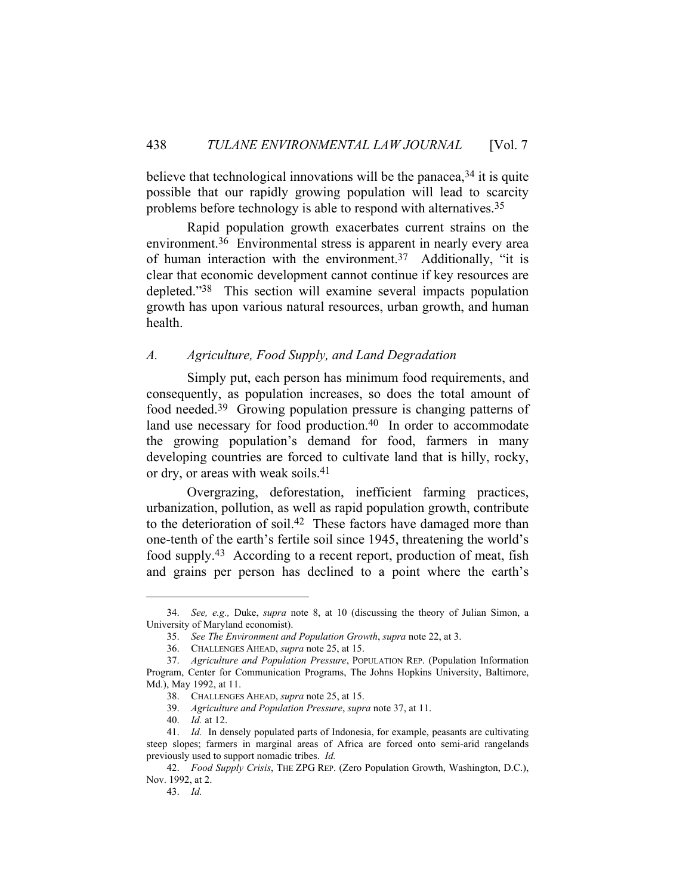believe that technological innovations will be the panacea,  $34$  it is quite possible that our rapidly growing population will lead to scarcity problems before technology is able to respond with alternatives.35

 Rapid population growth exacerbates current strains on the environment.36 Environmental stress is apparent in nearly every area of human interaction with the environment.37 Additionally, "it is clear that economic development cannot continue if key resources are depleted."38 This section will examine several impacts population growth has upon various natural resources, urban growth, and human health.

## *A. Agriculture, Food Supply, and Land Degradation*

 Simply put, each person has minimum food requirements, and consequently, as population increases, so does the total amount of food needed.39 Growing population pressure is changing patterns of land use necessary for food production.<sup>40</sup> In order to accommodate the growing population's demand for food, farmers in many developing countries are forced to cultivate land that is hilly, rocky, or dry, or areas with weak soils.41

 Overgrazing, deforestation, inefficient farming practices, urbanization, pollution, as well as rapid population growth, contribute to the deterioration of soil.42 These factors have damaged more than one-tenth of the earth's fertile soil since 1945, threatening the world's food supply.43 According to a recent report, production of meat, fish and grains per person has declined to a point where the earth's

 <sup>34.</sup> *See, e.g.,* Duke, *supra* note 8, at 10 (discussing the theory of Julian Simon, a University of Maryland economist).

 <sup>35.</sup> *See The Environment and Population Growth*, *supra* note 22, at 3.

 <sup>36.</sup> CHALLENGES AHEAD, *supra* note 25, at 15.

 <sup>37.</sup> *Agriculture and Population Pressure*, POPULATION REP. (Population Information Program, Center for Communication Programs, The Johns Hopkins University, Baltimore, Md.), May 1992, at 11.

 <sup>38.</sup> CHALLENGES AHEAD, *supra* note 25, at 15.

 <sup>39.</sup> *Agriculture and Population Pressure*, *supra* note 37, at 11.

 <sup>40.</sup> *Id.* at 12.

 <sup>41.</sup> *Id.* In densely populated parts of Indonesia, for example, peasants are cultivating steep slopes; farmers in marginal areas of Africa are forced onto semi-arid rangelands previously used to support nomadic tribes. *Id.*

 <sup>42.</sup> *Food Supply Crisis*, THE ZPG REP. (Zero Population Growth, Washington, D.C.), Nov. 1992, at 2.

 <sup>43.</sup> *Id.*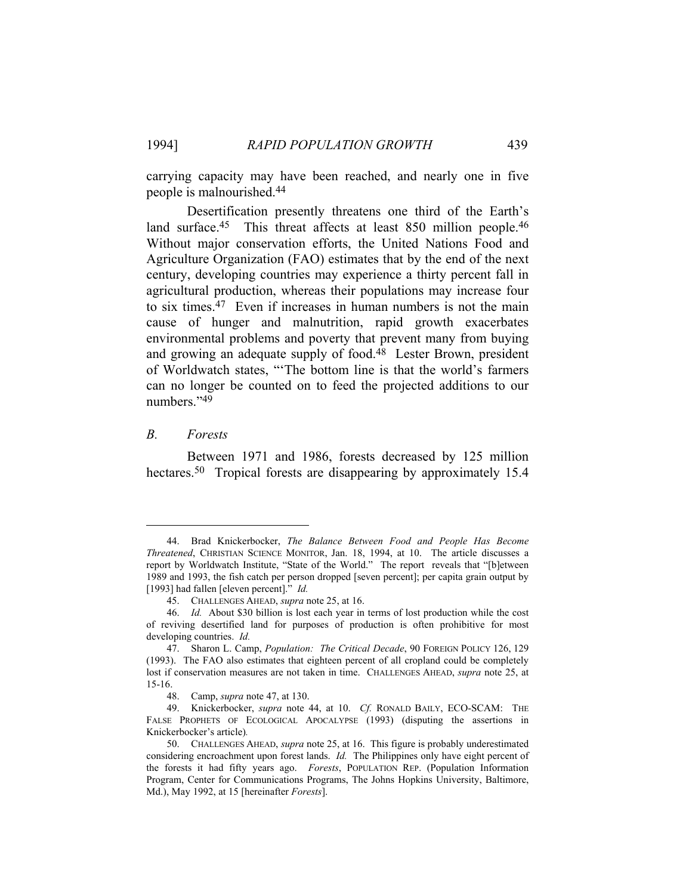carrying capacity may have been reached, and nearly one in five people is malnourished.44

 Desertification presently threatens one third of the Earth's land surface.<sup>45</sup> This threat affects at least 850 million people.<sup>46</sup> Without major conservation efforts, the United Nations Food and Agriculture Organization (FAO) estimates that by the end of the next century, developing countries may experience a thirty percent fall in agricultural production, whereas their populations may increase four to six times.47 Even if increases in human numbers is not the main cause of hunger and malnutrition, rapid growth exacerbates environmental problems and poverty that prevent many from buying and growing an adequate supply of food.48 Lester Brown, president of Worldwatch states, "'The bottom line is that the world's farmers can no longer be counted on to feed the projected additions to our numbers."49

#### *B. Forests*

 Between 1971 and 1986, forests decreased by 125 million hectares.<sup>50</sup> Tropical forests are disappearing by approximately 15.4

 <sup>44.</sup> Brad Knickerbocker, *The Balance Between Food and People Has Become Threatened*, CHRISTIAN SCIENCE MONITOR, Jan. 18, 1994, at 10. The article discusses a report by Worldwatch Institute, "State of the World." The report reveals that "[b]etween 1989 and 1993, the fish catch per person dropped [seven percent]; per capita grain output by [1993] had fallen [eleven percent]." *Id.*

 <sup>45.</sup> CHALLENGES AHEAD, *supra* note 25, at 16.

 <sup>46.</sup> *Id.* About \$30 billion is lost each year in terms of lost production while the cost of reviving desertified land for purposes of production is often prohibitive for most developing countries. *Id.* 

 <sup>47.</sup> Sharon L. Camp, *Population: The Critical Decade*, 90 FOREIGN POLICY 126, 129 (1993). The FAO also estimates that eighteen percent of all cropland could be completely lost if conservation measures are not taken in time. CHALLENGES AHEAD, *supra* note 25, at 15-16.

 <sup>48.</sup> Camp, *supra* note 47, at 130.

 <sup>49.</sup> Knickerbocker, *supra* note 44, at 10. *Cf.* RONALD BAILY, ECO-SCAM: THE FALSE PROPHETS OF ECOLOGICAL APOCALYPSE (1993) (disputing the assertions in Knickerbocker's article)*.*

 <sup>50.</sup> CHALLENGES AHEAD, *supra* note 25, at 16. This figure is probably underestimated considering encroachment upon forest lands. *Id.* The Philippines only have eight percent of the forests it had fifty years ago. *Forests*, POPULATION REP. (Population Information Program, Center for Communications Programs, The Johns Hopkins University, Baltimore, Md.), May 1992, at 15 [hereinafter *Forests*].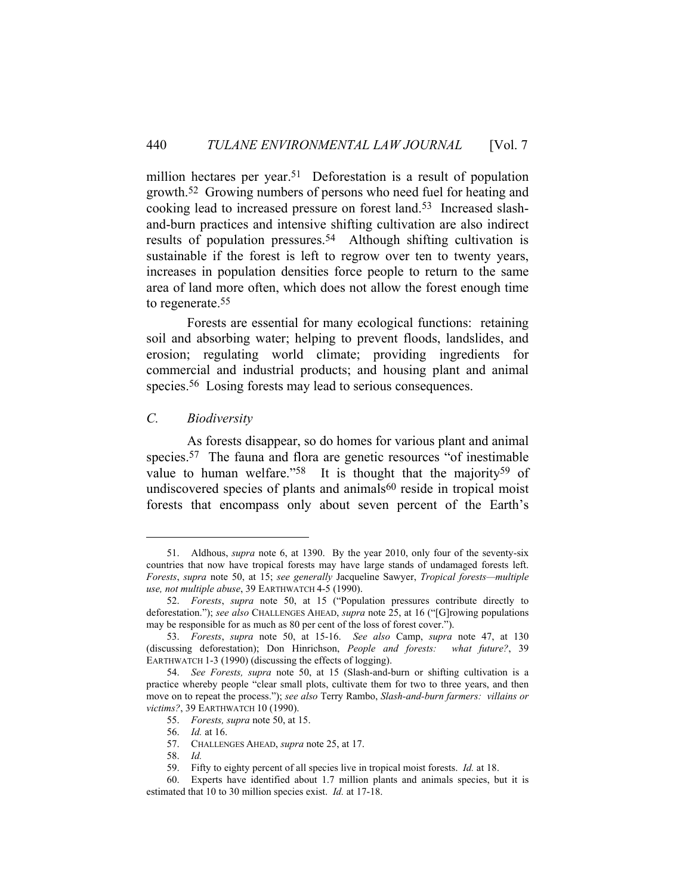million hectares per year.<sup>51</sup> Deforestation is a result of population growth.52 Growing numbers of persons who need fuel for heating and cooking lead to increased pressure on forest land.53 Increased slashand-burn practices and intensive shifting cultivation are also indirect results of population pressures.54 Although shifting cultivation is sustainable if the forest is left to regrow over ten to twenty years, increases in population densities force people to return to the same area of land more often, which does not allow the forest enough time to regenerate.55

 Forests are essential for many ecological functions: retaining soil and absorbing water; helping to prevent floods, landslides, and erosion; regulating world climate; providing ingredients for commercial and industrial products; and housing plant and animal species.<sup>56</sup> Losing forests may lead to serious consequences.

### *C. Biodiversity*

 As forests disappear, so do homes for various plant and animal species.<sup>57</sup> The fauna and flora are genetic resources "of inestimable" value to human welfare."<sup>58</sup> It is thought that the majority<sup>59</sup> of undiscovered species of plants and animals<sup>60</sup> reside in tropical moist forests that encompass only about seven percent of the Earth's

 <sup>51.</sup> Aldhous, *supra* note 6, at 1390. By the year 2010, only four of the seventy-six countries that now have tropical forests may have large stands of undamaged forests left. *Forests*, *supra* note 50, at 15; *see generally* Jacqueline Sawyer, *Tropical forests—multiple use, not multiple abuse*, 39 EARTHWATCH 4-5 (1990).

 <sup>52.</sup> *Forests*, *supra* note 50, at 15 ("Population pressures contribute directly to deforestation."); *see also* CHALLENGES AHEAD, *supra* note 25, at 16 ("[G]rowing populations may be responsible for as much as 80 per cent of the loss of forest cover.").

 <sup>53.</sup> *Forests*, *supra* note 50, at 15-16. *See also* Camp, *supra* note 47, at 130 (discussing deforestation); Don Hinrichson, *People and forests: what future?*, 39 EARTHWATCH 1-3 (1990) (discussing the effects of logging).

 <sup>54.</sup> *See Forests, supra* note 50, at 15 (Slash-and-burn or shifting cultivation is a practice whereby people "clear small plots, cultivate them for two to three years, and then move on to repeat the process."); *see also* Terry Rambo, *Slash-and-burn farmers: villains or victims?*, 39 EARTHWATCH 10 (1990).

 <sup>55.</sup> *Forests, supra* note 50, at 15.

 <sup>56.</sup> *Id.* at 16.

 <sup>57.</sup> CHALLENGES AHEAD, *supra* note 25, at 17.

 <sup>58.</sup> *Id.*

 <sup>59.</sup> Fifty to eighty percent of all species live in tropical moist forests. *Id.* at 18.

 <sup>60.</sup> Experts have identified about 1.7 million plants and animals species, but it is estimated that 10 to 30 million species exist. *Id.* at 17-18.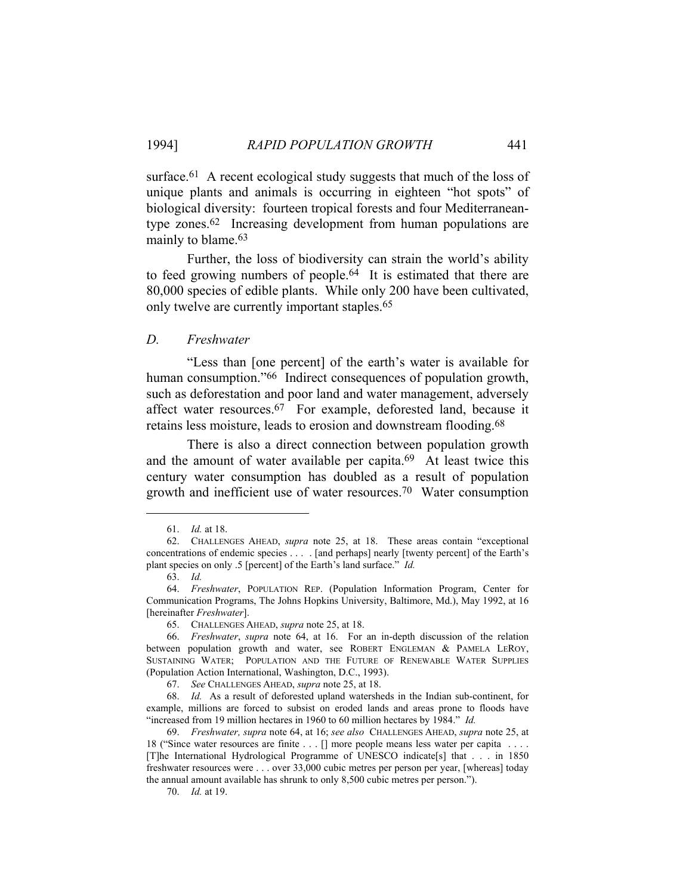surface.<sup>61</sup> A recent ecological study suggests that much of the loss of unique plants and animals is occurring in eighteen "hot spots" of biological diversity: fourteen tropical forests and four Mediterraneantype zones.62 Increasing development from human populations are mainly to blame.<sup>63</sup>

 Further, the loss of biodiversity can strain the world's ability to feed growing numbers of people.64 It is estimated that there are 80,000 species of edible plants. While only 200 have been cultivated, only twelve are currently important staples.65

#### *D. Freshwater*

 "Less than [one percent] of the earth's water is available for human consumption."<sup>66</sup> Indirect consequences of population growth, such as deforestation and poor land and water management, adversely affect water resources.67 For example, deforested land, because it retains less moisture, leads to erosion and downstream flooding.<sup>68</sup>

 There is also a direct connection between population growth and the amount of water available per capita.69 At least twice this century water consumption has doubled as a result of population growth and inefficient use of water resources.70 Water consumption

 <sup>61.</sup> *Id.* at 18.

 <sup>62.</sup> CHALLENGES AHEAD, *supra* note 25, at 18. These areas contain "exceptional concentrations of endemic species . . . . [and perhaps] nearly [twenty percent] of the Earth's plant species on only .5 [percent] of the Earth's land surface." *Id.*

 <sup>63.</sup> *Id.*

 <sup>64.</sup> *Freshwater*, POPULATION REP. (Population Information Program, Center for Communication Programs, The Johns Hopkins University, Baltimore, Md.), May 1992, at 16 [hereinafter *Freshwater*].

 <sup>65.</sup> CHALLENGES AHEAD, *supra* note 25, at 18.

 <sup>66.</sup> *Freshwater*, *supra* note 64, at 16. For an in-depth discussion of the relation between population growth and water, see ROBERT ENGLEMAN & PAMELA LEROY, SUSTAINING WATER; POPULATION AND THE FUTURE OF RENEWABLE WATER SUPPLIES (Population Action International, Washington, D.C., 1993).

 <sup>67.</sup> *See* CHALLENGES AHEAD, *supra* note 25, at 18.

 <sup>68.</sup> *Id.* As a result of deforested upland watersheds in the Indian sub-continent, for example, millions are forced to subsist on eroded lands and areas prone to floods have "increased from 19 million hectares in 1960 to 60 million hectares by 1984." *Id.*

 <sup>69.</sup> *Freshwater, supra* note 64, at 16; *see also* CHALLENGES AHEAD, *supra* note 25, at 18 ("Since water resources are finite . . . [] more people means less water per capita . . . . [T]he International Hydrological Programme of UNESCO indicate[s] that . . . in 1850 freshwater resources were . . . over 33,000 cubic metres per person per year, [whereas] today the annual amount available has shrunk to only 8,500 cubic metres per person.").

 <sup>70.</sup> *Id.* at 19.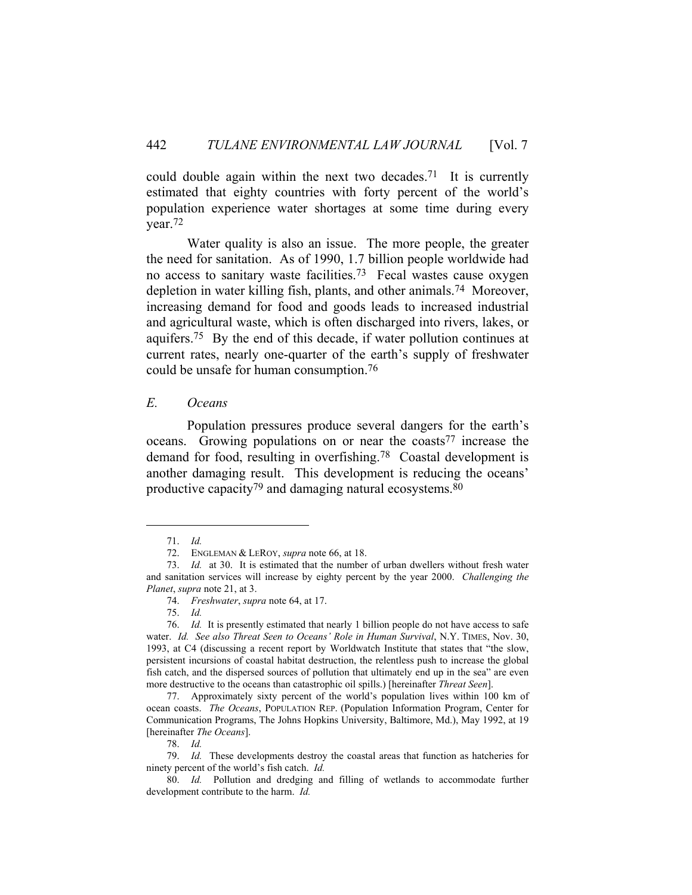could double again within the next two decades.<sup>71</sup> It is currently estimated that eighty countries with forty percent of the world's population experience water shortages at some time during every year.72

 Water quality is also an issue. The more people, the greater the need for sanitation. As of 1990, 1.7 billion people worldwide had no access to sanitary waste facilities.<sup>73</sup> Fecal wastes cause oxygen depletion in water killing fish, plants, and other animals.74 Moreover, increasing demand for food and goods leads to increased industrial and agricultural waste, which is often discharged into rivers, lakes, or aquifers.75 By the end of this decade, if water pollution continues at current rates, nearly one-quarter of the earth's supply of freshwater could be unsafe for human consumption.76

#### *E. Oceans*

 Population pressures produce several dangers for the earth's oceans. Growing populations on or near the coasts<sup>77</sup> increase the demand for food, resulting in overfishing.78 Coastal development is another damaging result. This development is reducing the oceans' productive capacity<sup>79</sup> and damaging natural ecosystems.<sup>80</sup>

78. *Id.*

 <sup>71.</sup> *Id.*

 <sup>72.</sup> ENGLEMAN & LEROY, *supra* note 66, at 18.

 <sup>73.</sup> *Id.* at 30. It is estimated that the number of urban dwellers without fresh water and sanitation services will increase by eighty percent by the year 2000. *Challenging the Planet*, *supra* note 21, at 3.

 <sup>74.</sup> *Freshwater*, *supra* note 64, at 17.

 <sup>75.</sup> *Id.*

 <sup>76.</sup> *Id.* It is presently estimated that nearly 1 billion people do not have access to safe water. *Id. See also Threat Seen to Oceans' Role in Human Survival*, N.Y. TIMES, Nov. 30, 1993, at C4 (discussing a recent report by Worldwatch Institute that states that "the slow, persistent incursions of coastal habitat destruction, the relentless push to increase the global fish catch, and the dispersed sources of pollution that ultimately end up in the sea" are even more destructive to the oceans than catastrophic oil spills.) [hereinafter *Threat Seen*].

 <sup>77.</sup> Approximately sixty percent of the world's population lives within 100 km of ocean coasts. *The Oceans*, POPULATION REP. (Population Information Program, Center for Communication Programs, The Johns Hopkins University, Baltimore, Md.), May 1992, at 19 [hereinafter *The Oceans*].

 <sup>79.</sup> *Id.* These developments destroy the coastal areas that function as hatcheries for ninety percent of the world's fish catch. *Id.*

 <sup>80.</sup> *Id.* Pollution and dredging and filling of wetlands to accommodate further development contribute to the harm. *Id.*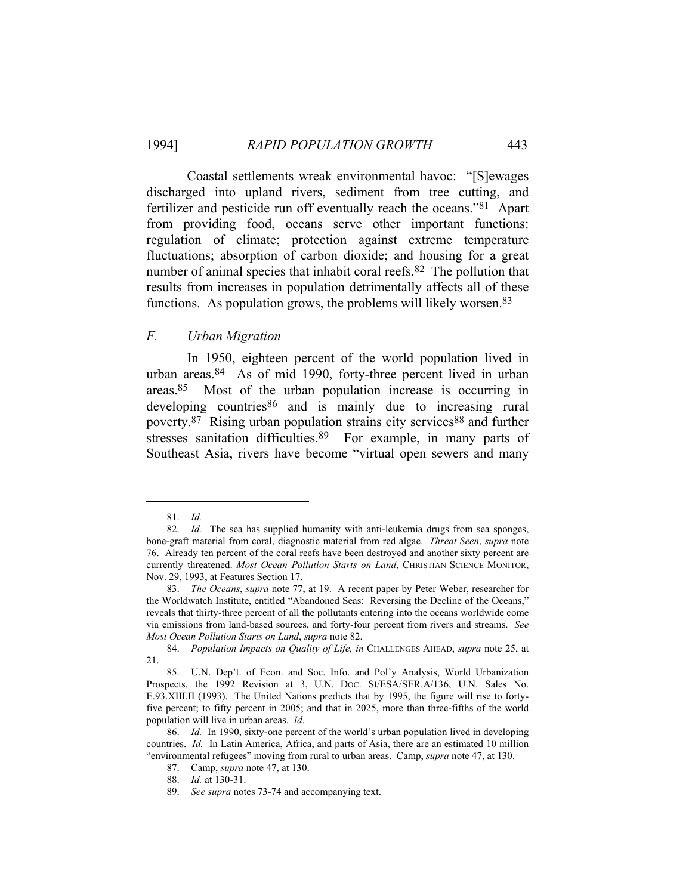Coastal settlements wreak environmental havoc: "[S]ewages discharged into upland rivers, sediment from tree cutting, and fertilizer and pesticide run off eventually reach the oceans."81 Apart from providing food, oceans serve other important functions: regulation of climate; protection against extreme temperature fluctuations; absorption of carbon dioxide; and housing for a great number of animal species that inhabit coral reefs.<sup>82</sup> The pollution that results from increases in population detrimentally affects all of these functions. As population grows, the problems will likely worsen.<sup>83</sup>

# *F. Urban Migration*

 In 1950, eighteen percent of the world population lived in urban areas.84 As of mid 1990, forty-three percent lived in urban areas.85 Most of the urban population increase is occurring in developing countries<sup>86</sup> and is mainly due to increasing rural poverty.87 Rising urban population strains city services88 and further stresses sanitation difficulties.<sup>89</sup> For example, in many parts of Southeast Asia, rivers have become "virtual open sewers and many

 <sup>81.</sup> *Id.* 

 <sup>82.</sup> *Id.* The sea has supplied humanity with anti-leukemia drugs from sea sponges, bone-graft material from coral, diagnostic material from red algae. *Threat Seen*, *supra* note 76. Already ten percent of the coral reefs have been destroyed and another sixty percent are currently threatened. *Most Ocean Pollution Starts on Land*, CHRISTIAN SCIENCE MONITOR, Nov. 29, 1993, at Features Section 17.

 <sup>83.</sup> *The Oceans*, *supra* note 77, at 19. A recent paper by Peter Weber, researcher for the Worldwatch Institute, entitled "Abandoned Seas: Reversing the Decline of the Oceans," reveals that thirty-three percent of all the pollutants entering into the oceans worldwide come via emissions from land-based sources, and forty-four percent from rivers and streams. *See Most Ocean Pollution Starts on Land*, *supra* note 82.

 <sup>84.</sup> *Population Impacts on Quality of Life, in* CHALLENGES AHEAD, *supra* note 25, at 21.

 <sup>85.</sup> U.N. Dep't. of Econ. and Soc. Info. and Pol'y Analysis, World Urbanization Prospects, the 1992 Revision at 3, U.N. DOC. St/ESA/SER.A/136, U.N. Sales No. E.93.XIII.II (1993). The United Nations predicts that by 1995, the figure will rise to fortyfive percent; to fifty percent in 2005; and that in 2025, more than three-fifths of the world population will live in urban areas. *Id*.

 <sup>86.</sup> *Id.* In 1990, sixty-one percent of the world's urban population lived in developing countries. *Id.* In Latin America, Africa, and parts of Asia, there are an estimated 10 million "environmental refugees" moving from rural to urban areas. Camp, *supra* note 47, at 130.

 <sup>87.</sup> Camp, *supra* note 47, at 130.

 <sup>88.</sup> *Id.* at 130-31.

 <sup>89.</sup> *See supra* notes 73-74 and accompanying text.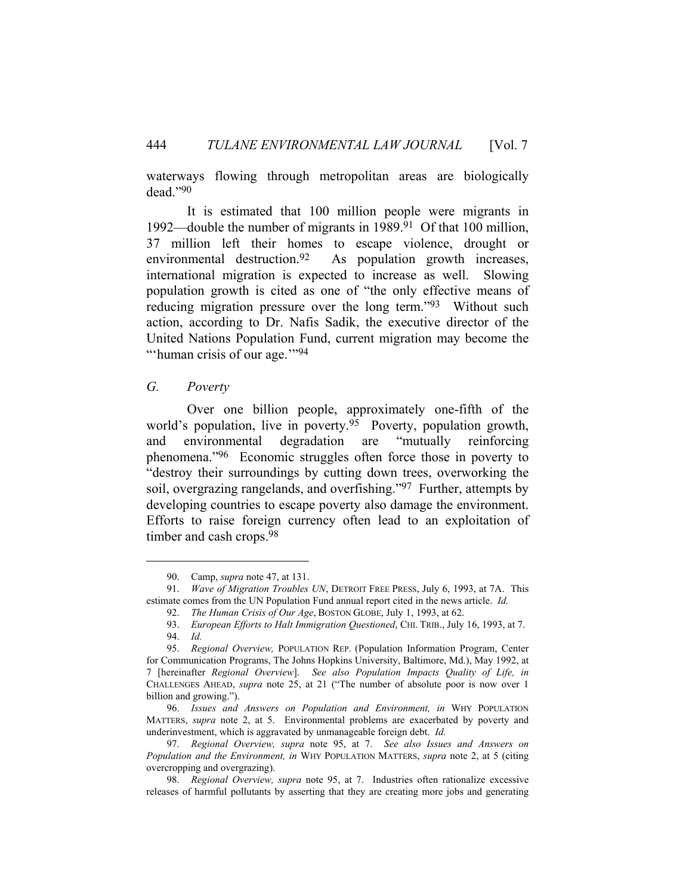waterways flowing through metropolitan areas are biologically dead."90

 It is estimated that 100 million people were migrants in 1992—double the number of migrants in 1989.91 Of that 100 million, 37 million left their homes to escape violence, drought or environmental destruction.<sup>92</sup> As population growth increases, international migration is expected to increase as well. Slowing population growth is cited as one of "the only effective means of reducing migration pressure over the long term."93 Without such action, according to Dr. Nafis Sadik, the executive director of the United Nations Population Fund, current migration may become the "'human crisis of our age."<sup>94</sup>

# *G. Poverty*

 Over one billion people, approximately one-fifth of the world's population, live in poverty.<sup>95</sup> Poverty, population growth, and environmental degradation are "mutually reinforcing phenomena."96 Economic struggles often force those in poverty to "destroy their surroundings by cutting down trees, overworking the soil, overgrazing rangelands, and overfishing."97 Further, attempts by developing countries to escape poverty also damage the environment. Efforts to raise foreign currency often lead to an exploitation of timber and cash crops.98

 <sup>90.</sup> Camp, *supra* note 47, at 131.

 <sup>91.</sup> *Wave of Migration Troubles UN*, DETROIT FREE PRESS, July 6, 1993, at 7A. This estimate comes from the UN Population Fund annual report cited in the news article. *Id.*

 <sup>92.</sup> *The Human Crisis of Our Age*, BOSTON GLOBE, July 1, 1993, at 62.

 <sup>93.</sup> *European Efforts to Halt Immigration Questioned*, CHI. TRIB., July 16, 1993, at 7. 94. *Id.*

 <sup>95.</sup> *Regional Overview,* POPULATION REP. (Population Information Program, Center for Communication Programs, The Johns Hopkins University, Baltimore, Md.), May 1992, at 7 [hereinafter *Regional Overview*]. *See also Population Impacts Quality of Life, in*  CHALLENGES AHEAD, *supra* note 25, at 21 ("The number of absolute poor is now over 1 billion and growing.").

 <sup>96.</sup> *Issues and Answers on Population and Environment, in* WHY POPULATION MATTERS, *supra* note 2, at 5. Environmental problems are exacerbated by poverty and underinvestment, which is aggravated by unmanageable foreign debt. *Id.*

 <sup>97.</sup> *Regional Overview, supra* note 95, at 7. *See also Issues and Answers on Population and the Environment, in* WHY POPULATION MATTERS, *supra* note 2, at 5 (citing overcropping and overgrazing).

 <sup>98.</sup> *Regional Overview, supra* note 95, at 7. Industries often rationalize excessive releases of harmful pollutants by asserting that they are creating more jobs and generating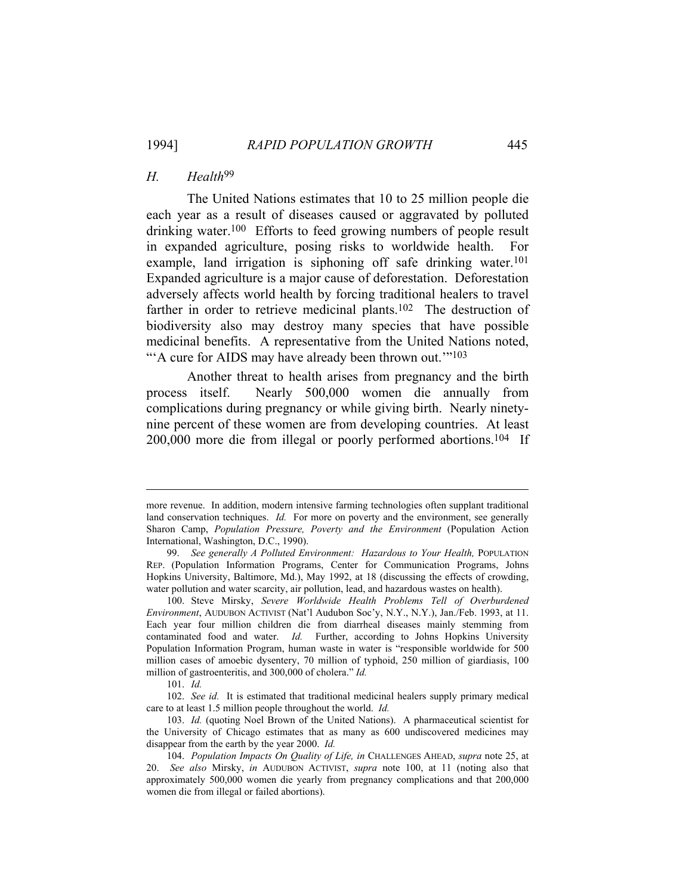# *H. Health*99

 The United Nations estimates that 10 to 25 million people die each year as a result of diseases caused or aggravated by polluted drinking water.100 Efforts to feed growing numbers of people result in expanded agriculture, posing risks to worldwide health. For example, land irrigation is siphoning off safe drinking water.<sup>101</sup> Expanded agriculture is a major cause of deforestation. Deforestation adversely affects world health by forcing traditional healers to travel farther in order to retrieve medicinal plants.<sup>102</sup> The destruction of biodiversity also may destroy many species that have possible medicinal benefits. A representative from the United Nations noted, "A cure for AIDS may have already been thrown out."<sup>103</sup>

 Another threat to health arises from pregnancy and the birth process itself. Nearly 500,000 women die annually from complications during pregnancy or while giving birth. Nearly ninetynine percent of these women are from developing countries. At least 200,000 more die from illegal or poorly performed abortions.104 If

more revenue. In addition, modern intensive farming technologies often supplant traditional land conservation techniques. *Id.* For more on poverty and the environment, see generally Sharon Camp, *Population Pressure, Poverty and the Environment* (Population Action International, Washington, D.C., 1990).

 <sup>99.</sup> *See generally A Polluted Environment: Hazardous to Your Health,* POPULATION REP. (Population Information Programs, Center for Communication Programs, Johns Hopkins University, Baltimore, Md.), May 1992, at 18 (discussing the effects of crowding, water pollution and water scarcity, air pollution, lead, and hazardous wastes on health).

 <sup>100.</sup> Steve Mirsky, *Severe Worldwide Health Problems Tell of Overburdened Environment*, AUDUBON ACTIVIST (Nat'l Audubon Soc'y, N.Y., N.Y.), Jan./Feb. 1993, at 11. Each year four million children die from diarrheal diseases mainly stemming from contaminated food and water. *Id.* Further, according to Johns Hopkins University Population Information Program, human waste in water is "responsible worldwide for 500 million cases of amoebic dysentery, 70 million of typhoid, 250 million of giardiasis, 100 million of gastroenteritis, and 300,000 of cholera." *Id.*

 <sup>101.</sup> *Id.*

 <sup>102.</sup> *See id.* It is estimated that traditional medicinal healers supply primary medical care to at least 1.5 million people throughout the world. *Id.*

 <sup>103.</sup> *Id.* (quoting Noel Brown of the United Nations). A pharmaceutical scientist for the University of Chicago estimates that as many as 600 undiscovered medicines may disappear from the earth by the year 2000. *Id.*

 <sup>104.</sup> *Population Impacts On Quality of Life, in* CHALLENGES AHEAD, *supra* note 25, at 20. *See also* Mirsky, *in* AUDUBON ACTIVIST, *supra* note 100, at 11 (noting also that approximately 500,000 women die yearly from pregnancy complications and that 200,000 women die from illegal or failed abortions).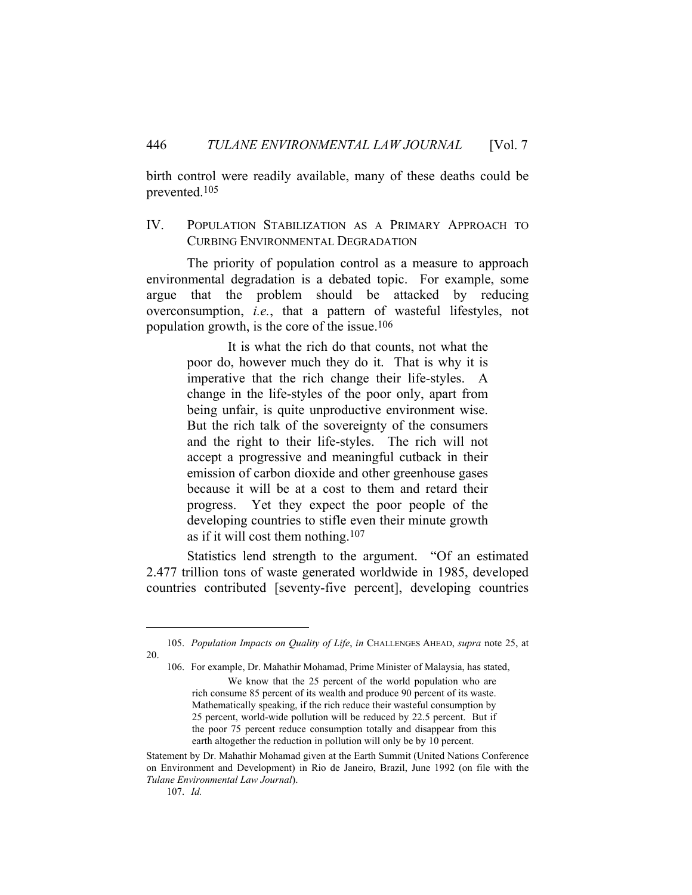birth control were readily available, many of these deaths could be prevented.105

# IV. POPULATION STABILIZATION AS A PRIMARY APPROACH TO CURBING ENVIRONMENTAL DEGRADATION

The priority of population control as a measure to approach environmental degradation is a debated topic. For example, some argue that the problem should be attacked by reducing overconsumption, *i.e.*, that a pattern of wasteful lifestyles, not population growth, is the core of the issue.106

> It is what the rich do that counts, not what the poor do, however much they do it. That is why it is imperative that the rich change their life-styles. A change in the life-styles of the poor only, apart from being unfair, is quite unproductive environment wise. But the rich talk of the sovereignty of the consumers and the right to their life-styles. The rich will not accept a progressive and meaningful cutback in their emission of carbon dioxide and other greenhouse gases because it will be at a cost to them and retard their progress. Yet they expect the poor people of the developing countries to stifle even their minute growth as if it will cost them nothing.<sup>107</sup>

 Statistics lend strength to the argument. "Of an estimated 2.477 trillion tons of waste generated worldwide in 1985, developed countries contributed [seventy-five percent], developing countries

 <sup>105.</sup> *Population Impacts on Quality of Life*, *in* CHALLENGES AHEAD, *supra* note 25, at 20.

 <sup>106.</sup> For example, Dr. Mahathir Mohamad, Prime Minister of Malaysia, has stated, We know that the 25 percent of the world population who are rich consume 85 percent of its wealth and produce 90 percent of its waste. Mathematically speaking, if the rich reduce their wasteful consumption by 25 percent, world-wide pollution will be reduced by 22.5 percent. But if the poor 75 percent reduce consumption totally and disappear from this earth altogether the reduction in pollution will only be by 10 percent.

Statement by Dr. Mahathir Mohamad given at the Earth Summit (United Nations Conference on Environment and Development) in Rio de Janeiro, Brazil, June 1992 (on file with the *Tulane Environmental Law Journal*).

 <sup>107.</sup> *Id.*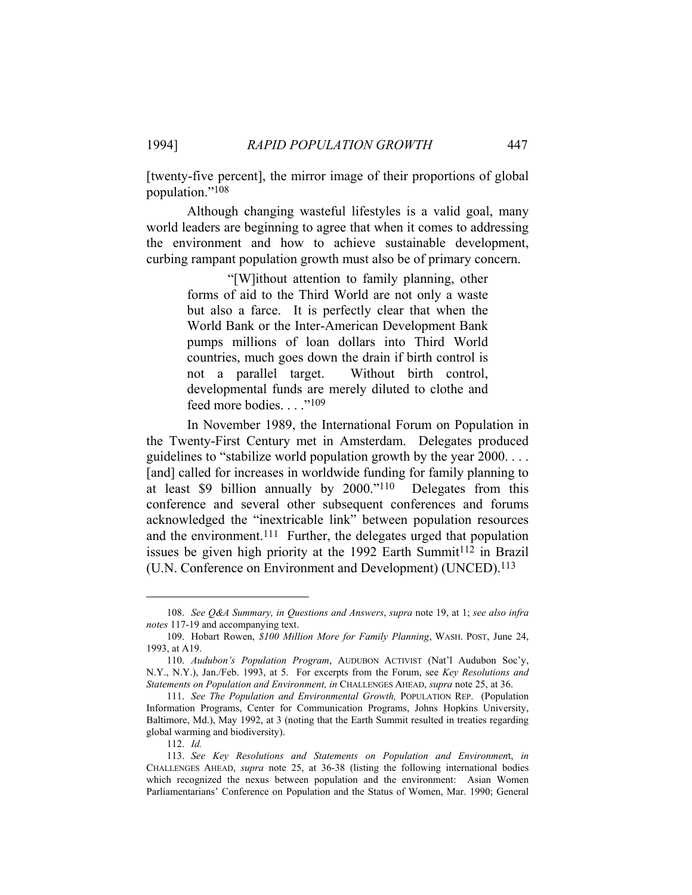[twenty-five percent], the mirror image of their proportions of global population."108

 Although changing wasteful lifestyles is a valid goal, many world leaders are beginning to agree that when it comes to addressing the environment and how to achieve sustainable development, curbing rampant population growth must also be of primary concern.

> "[W]ithout attention to family planning, other forms of aid to the Third World are not only a waste but also a farce. It is perfectly clear that when the World Bank or the Inter-American Development Bank pumps millions of loan dollars into Third World countries, much goes down the drain if birth control is not a parallel target. Without birth control, developmental funds are merely diluted to clothe and feed more bodies. . . . "<sup>109</sup>

In November 1989, the International Forum on Population in the Twenty-First Century met in Amsterdam. Delegates produced guidelines to "stabilize world population growth by the year 2000. . . . [and] called for increases in worldwide funding for family planning to at least \$9 billion annually by 2000."110 Delegates from this conference and several other subsequent conferences and forums acknowledged the "inextricable link" between population resources and the environment.<sup>111</sup> Further, the delegates urged that population issues be given high priority at the 1992 Earth Summit<sup>112</sup> in Brazil (U.N. Conference on Environment and Development) (UNCED).113

112. *Id.*

 <sup>108.</sup> *See Q&A Summary, in Questions and Answers*, *supra* note 19, at 1; *see also infra notes* 117-19 and accompanying text.

 <sup>109.</sup> Hobart Rowen, *\$100 Million More for Family Planning*, WASH. POST, June 24, 1993, at A19.

 <sup>110.</sup> *Audubon's Population Program*, AUDUBON ACTIVIST (Nat'l Audubon Soc'y, N.Y., N.Y.), Jan./Feb. 1993, at 5. For excerpts from the Forum, see *Key Resolutions and Statements on Population and Environment, in* CHALLENGES AHEAD, *supra* note 25, at 36.

 <sup>111.</sup> *See The Population and Environmental Growth,* POPULATION REP. (Population Information Programs, Center for Communication Programs, Johns Hopkins University, Baltimore, Md.), May 1992, at 3 (noting that the Earth Summit resulted in treaties regarding global warming and biodiversity).

 <sup>113.</sup> *See Key Resolutions and Statements on Population and Environmen*t, *in*  CHALLENGES AHEAD, *supra* note 25, at 36-38 (listing the following international bodies which recognized the nexus between population and the environment: Asian Women Parliamentarians' Conference on Population and the Status of Women, Mar. 1990; General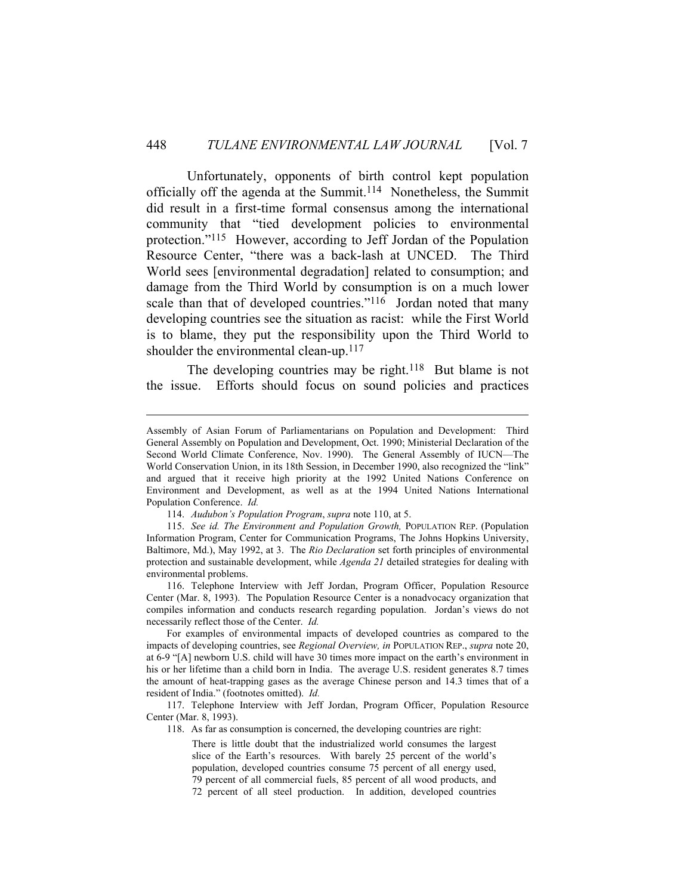Unfortunately, opponents of birth control kept population officially off the agenda at the Summit.114 Nonetheless, the Summit did result in a first-time formal consensus among the international community that "tied development policies to environmental protection."115 However, according to Jeff Jordan of the Population Resource Center, "there was a back-lash at UNCED. The Third World sees [environmental degradation] related to consumption; and damage from the Third World by consumption is on a much lower scale than that of developed countries."<sup>116</sup> Jordan noted that many developing countries see the situation as racist: while the First World is to blame, they put the responsibility upon the Third World to shoulder the environmental clean-up.<sup>117</sup>

The developing countries may be right.<sup>118</sup> But blame is not the issue. Efforts should focus on sound policies and practices

114. *Audubon's Population Program*, *supra* note 110, at 5.

 116. Telephone Interview with Jeff Jordan, Program Officer, Population Resource Center (Mar. 8, 1993). The Population Resource Center is a nonadvocacy organization that compiles information and conducts research regarding population. Jordan's views do not necessarily reflect those of the Center. *Id.*

 For examples of environmental impacts of developed countries as compared to the impacts of developing countries, see *Regional Overview, in* POPULATION REP., *supra* note 20, at 6-9 "[A] newborn U.S. child will have 30 times more impact on the earth's environment in his or her lifetime than a child born in India. The average U.S. resident generates 8.7 times the amount of heat-trapping gases as the average Chinese person and 14.3 times that of a resident of India." (footnotes omitted). *Id.*

 117. Telephone Interview with Jeff Jordan, Program Officer, Population Resource Center (Mar. 8, 1993).

118. As far as consumption is concerned, the developing countries are right:

There is little doubt that the industrialized world consumes the largest slice of the Earth's resources. With barely 25 percent of the world's population, developed countries consume 75 percent of all energy used, 79 percent of all commercial fuels, 85 percent of all wood products, and 72 percent of all steel production. In addition, developed countries

Assembly of Asian Forum of Parliamentarians on Population and Development: Third General Assembly on Population and Development, Oct. 1990; Ministerial Declaration of the Second World Climate Conference, Nov. 1990). The General Assembly of IUCN—The World Conservation Union, in its 18th Session, in December 1990, also recognized the "link" and argued that it receive high priority at the 1992 United Nations Conference on Environment and Development, as well as at the 1994 United Nations International Population Conference. *Id.*

 <sup>115.</sup> *See id. The Environment and Population Growth,* POPULATION REP. (Population Information Program, Center for Communication Programs, The Johns Hopkins University, Baltimore, Md.), May 1992, at 3. The *Rio Declaration* set forth principles of environmental protection and sustainable development, while *Agenda 21* detailed strategies for dealing with environmental problems.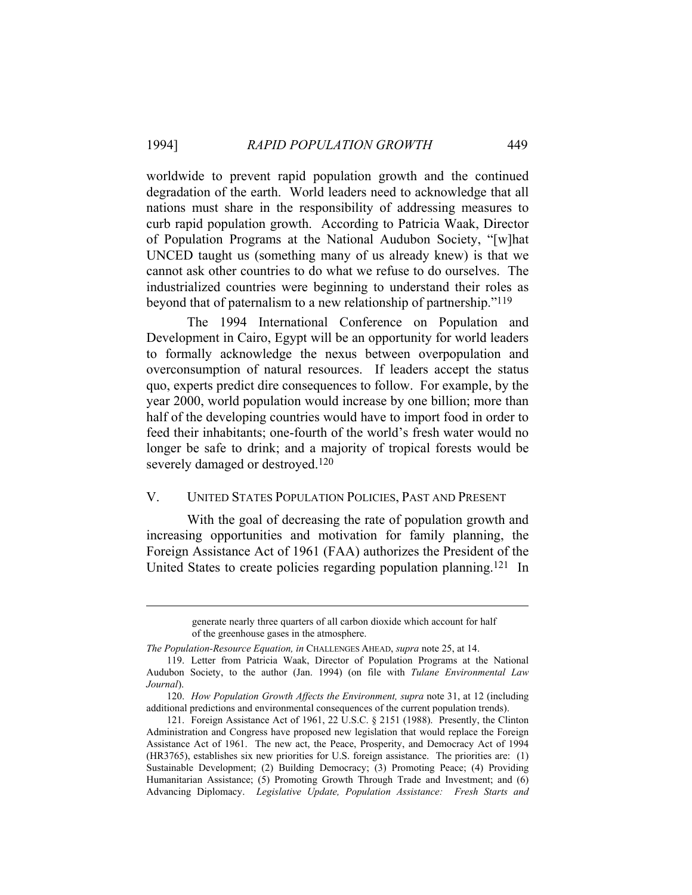worldwide to prevent rapid population growth and the continued degradation of the earth. World leaders need to acknowledge that all nations must share in the responsibility of addressing measures to curb rapid population growth. According to Patricia Waak, Director of Population Programs at the National Audubon Society, "[w]hat UNCED taught us (something many of us already knew) is that we cannot ask other countries to do what we refuse to do ourselves. The industrialized countries were beginning to understand their roles as beyond that of paternalism to a new relationship of partnership."119

 The 1994 International Conference on Population and Development in Cairo, Egypt will be an opportunity for world leaders to formally acknowledge the nexus between overpopulation and overconsumption of natural resources. If leaders accept the status quo, experts predict dire consequences to follow. For example, by the year 2000, world population would increase by one billion; more than half of the developing countries would have to import food in order to feed their inhabitants; one-fourth of the world's fresh water would no longer be safe to drink; and a majority of tropical forests would be severely damaged or destroyed.120

# V. UNITED STATES POPULATION POLICIES, PAST AND PRESENT

 With the goal of decreasing the rate of population growth and increasing opportunities and motivation for family planning, the Foreign Assistance Act of 1961 (FAA) authorizes the President of the United States to create policies regarding population planning.121 In

generate nearly three quarters of all carbon dioxide which account for half of the greenhouse gases in the atmosphere.

*The Population-Resource Equation, in* CHALLENGES AHEAD, *supra* note 25, at 14.

 <sup>119.</sup> Letter from Patricia Waak, Director of Population Programs at the National Audubon Society, to the author (Jan. 1994) (on file with *Tulane Environmental Law Journal*).

 <sup>120.</sup> *How Population Growth Affects the Environment, supra* note 31, at 12 (including additional predictions and environmental consequences of the current population trends).

 <sup>121.</sup> Foreign Assistance Act of 1961, 22 U.S.C. § 2151 (1988). Presently, the Clinton Administration and Congress have proposed new legislation that would replace the Foreign Assistance Act of 1961. The new act, the Peace, Prosperity, and Democracy Act of 1994 (HR3765), establishes six new priorities for U.S. foreign assistance. The priorities are: (1) Sustainable Development; (2) Building Democracy; (3) Promoting Peace; (4) Providing Humanitarian Assistance; (5) Promoting Growth Through Trade and Investment; and (6) Advancing Diplomacy. *Legislative Update, Population Assistance: Fresh Starts and*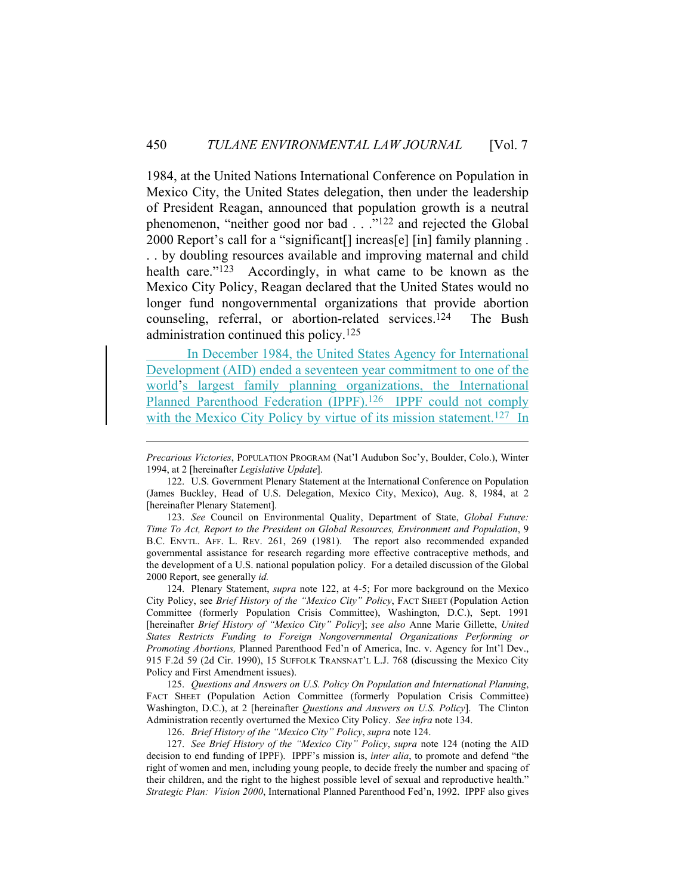1984, at the United Nations International Conference on Population in Mexico City, the United States delegation, then under the leadership of President Reagan, announced that population growth is a neutral phenomenon, "neither good nor bad . . ."122 and rejected the Global 2000 Report's call for a "significant[] increas[e] [in] family planning . . . by doubling resources available and improving maternal and child health care."<sup>123</sup> Accordingly, in what came to be known as the Mexico City Policy, Reagan declared that the United States would no longer fund nongovernmental organizations that provide abortion counseling, referral, or abortion-related services.124 The Bush administration continued this policy.125

 In December 1984, the United States Agency for International Development (AID) ended a seventeen year commitment to one of the world's largest family planning organizations, the International Planned Parenthood Federation (IPPF).<sup>126</sup> IPPF could not comply with the Mexico City Policy by virtue of its mission statement.<sup>127</sup> In

 123. *See* Council on Environmental Quality, Department of State, *Global Future: Time To Act, Report to the President on Global Resources, Environment and Population*, 9 B.C. ENVTL. AFF. L. REV. 261, 269 (1981). The report also recommended expanded governmental assistance for research regarding more effective contraceptive methods, and the development of a U.S. national population policy. For a detailed discussion of the Global 2000 Report, see generally *id.*

 124. Plenary Statement, *supra* note 122, at 4-5; For more background on the Mexico City Policy, see *Brief History of the "Mexico City" Policy*, FACT SHEET (Population Action Committee (formerly Population Crisis Committee), Washington, D.C.), Sept. 1991 [hereinafter *Brief History of "Mexico City" Policy*]; *see also* Anne Marie Gillette, *United States Restricts Funding to Foreign Nongovernmental Organizations Performing or Promoting Abortions,* Planned Parenthood Fed'n of America, Inc. v. Agency for Int'l Dev., 915 F.2d 59 (2d Cir. 1990), 15 SUFFOLK TRANSNAT'L L.J. 768 (discussing the Mexico City Policy and First Amendment issues).

 125. *Questions and Answers on U.S. Policy On Population and International Planning*, FACT SHEET (Population Action Committee (formerly Population Crisis Committee) Washington, D.C.), at 2 [hereinafter *Questions and Answers on U.S. Policy*]. The Clinton Administration recently overturned the Mexico City Policy. *See infra* note 134.

126. *Brief History of the "Mexico City" Policy*, *supra* note 124.

 127. *See Brief History of the "Mexico City" Policy*, *supra* note 124 (noting the AID decision to end funding of IPPF). IPPF's mission is, *inter alia*, to promote and defend "the right of women and men, including young people, to decide freely the number and spacing of their children, and the right to the highest possible level of sexual and reproductive health." *Strategic Plan: Vision 2000*, International Planned Parenthood Fed'n, 1992. IPPF also gives

*Precarious Victories*, POPULATION PROGRAM (Nat'l Audubon Soc'y, Boulder, Colo.), Winter 1994, at 2 [hereinafter *Legislative Update*].

 <sup>122.</sup> U.S. Government Plenary Statement at the International Conference on Population (James Buckley, Head of U.S. Delegation, Mexico City, Mexico), Aug. 8, 1984, at 2 [hereinafter Plenary Statement].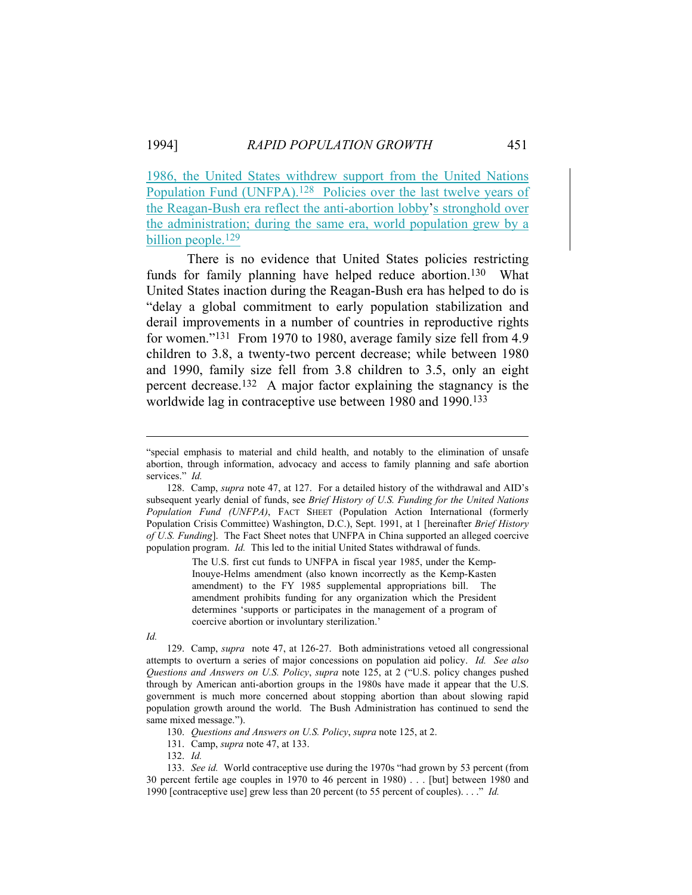1986, the United States withdrew support from the United Nations Population Fund (UNFPA).<sup>128</sup> Policies over the last twelve years of the Reagan-Bush era reflect the anti-abortion lobby's stronghold over the administration; during the same era, world population grew by a billion people.<sup>129</sup>

 There is no evidence that United States policies restricting funds for family planning have helped reduce abortion.<sup>130</sup> What United States inaction during the Reagan-Bush era has helped to do is "delay a global commitment to early population stabilization and derail improvements in a number of countries in reproductive rights for women."131 From 1970 to 1980, average family size fell from 4.9 children to 3.8, a twenty-two percent decrease; while between 1980 and 1990, family size fell from 3.8 children to 3.5, only an eight percent decrease.132 A major factor explaining the stagnancy is the worldwide lag in contraceptive use between 1980 and 1990.133

The U.S. first cut funds to UNFPA in fiscal year 1985, under the Kemp-Inouye-Helms amendment (also known incorrectly as the Kemp-Kasten amendment) to the FY 1985 supplemental appropriations bill. The amendment prohibits funding for any organization which the President determines 'supports or participates in the management of a program of coercive abortion or involuntary sterilization.'

*Id.*

 129. Camp, *supra* note 47, at 126-27. Both administrations vetoed all congressional attempts to overturn a series of major concessions on population aid policy. *Id. See also Questions and Answers on U.S. Policy*, *supra* note 125, at 2 ("U.S. policy changes pushed through by American anti-abortion groups in the 1980s have made it appear that the U.S. government is much more concerned about stopping abortion than about slowing rapid population growth around the world. The Bush Administration has continued to send the same mixed message.").

130. *Questions and Answers on U.S. Policy*, *supra* note 125, at 2.

131. Camp, *supra* note 47, at 133.

132. *Id.*

 133. *See id.* World contraceptive use during the 1970s "had grown by 53 percent (from 30 percent fertile age couples in 1970 to 46 percent in 1980) . . . [but] between 1980 and 1990 [contraceptive use] grew less than 20 percent (to 55 percent of couples). . . ." *Id.* 

<sup>&</sup>quot;special emphasis to material and child health, and notably to the elimination of unsafe abortion, through information, advocacy and access to family planning and safe abortion services." *Id.*

 <sup>128.</sup> Camp, *supra* note 47, at 127. For a detailed history of the withdrawal and AID's subsequent yearly denial of funds, see *Brief History of U.S. Funding for the United Nations Population Fund (UNFPA)*, FACT SHEET (Population Action International (formerly Population Crisis Committee) Washington, D.C.), Sept. 1991, at 1 [hereinafter *Brief History of U.S. Funding*]. The Fact Sheet notes that UNFPA in China supported an alleged coercive population program. *Id.* This led to the initial United States withdrawal of funds.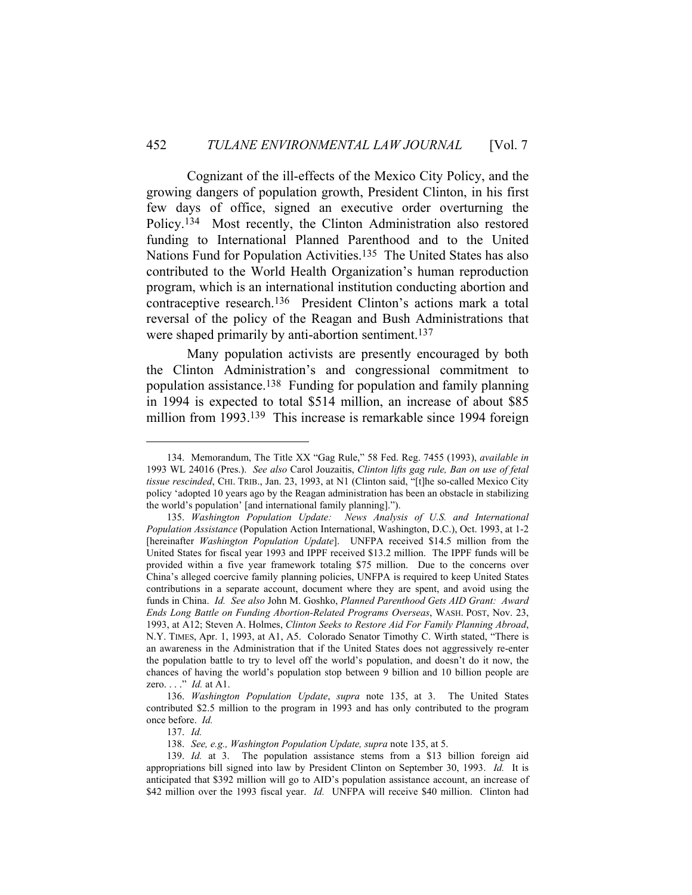Cognizant of the ill-effects of the Mexico City Policy, and the growing dangers of population growth, President Clinton, in his first few days of office, signed an executive order overturning the Policy.134 Most recently, the Clinton Administration also restored funding to International Planned Parenthood and to the United Nations Fund for Population Activities.135 The United States has also contributed to the World Health Organization's human reproduction program, which is an international institution conducting abortion and contraceptive research.136 President Clinton's actions mark a total reversal of the policy of the Reagan and Bush Administrations that were shaped primarily by anti-abortion sentiment.<sup>137</sup>

 Many population activists are presently encouraged by both the Clinton Administration's and congressional commitment to population assistance.138 Funding for population and family planning in 1994 is expected to total \$514 million, an increase of about \$85 million from 1993.<sup>139</sup> This increase is remarkable since 1994 foreign

137. *Id.*

 <sup>134.</sup> Memorandum, The Title XX "Gag Rule," 58 Fed. Reg. 7455 (1993), *available in* 1993 WL 24016 (Pres.). *See also* Carol Jouzaitis, *Clinton lifts gag rule, Ban on use of fetal tissue rescinded*, CHI. TRIB., Jan. 23, 1993, at N1 (Clinton said, "[t]he so-called Mexico City policy 'adopted 10 years ago by the Reagan administration has been an obstacle in stabilizing the world's population' [and international family planning].").

 <sup>135.</sup> *Washington Population Update: News Analysis of U.S. and International Population Assistance* (Population Action International, Washington, D.C.), Oct. 1993, at 1-2 [hereinafter *Washington Population Update*]. UNFPA received \$14.5 million from the United States for fiscal year 1993 and IPPF received \$13.2 million. The IPPF funds will be provided within a five year framework totaling \$75 million. Due to the concerns over China's alleged coercive family planning policies, UNFPA is required to keep United States contributions in a separate account, document where they are spent, and avoid using the funds in China. *Id. See also* John M. Goshko, *Planned Parenthood Gets AID Grant: Award Ends Long Battle on Funding Abortion-Related Programs Overseas*, WASH. POST, Nov. 23, 1993, at A12; Steven A. Holmes, *Clinton Seeks to Restore Aid For Family Planning Abroad*, N.Y. TIMES, Apr. 1, 1993, at A1, A5. Colorado Senator Timothy C. Wirth stated, "There is an awareness in the Administration that if the United States does not aggressively re-enter the population battle to try to level off the world's population, and doesn't do it now, the chances of having the world's population stop between 9 billion and 10 billion people are zero. . . ." *Id.* at A1.

 <sup>136.</sup> *Washington Population Update*, *supra* note 135, at 3. The United States contributed \$2.5 million to the program in 1993 and has only contributed to the program once before. *Id.* 

 <sup>138.</sup> *See, e.g., Washington Population Update, supra* note 135, at 5.

 <sup>139.</sup> *Id.* at 3. The population assistance stems from a \$13 billion foreign aid appropriations bill signed into law by President Clinton on September 30, 1993. *Id.* It is anticipated that \$392 million will go to AID's population assistance account, an increase of \$42 million over the 1993 fiscal year. *Id.* UNFPA will receive \$40 million. Clinton had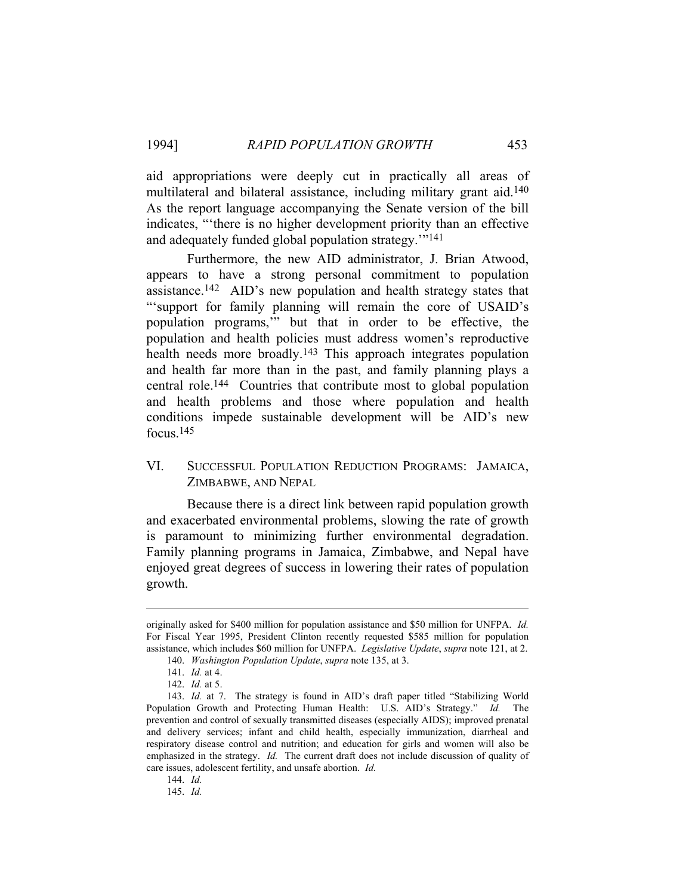aid appropriations were deeply cut in practically all areas of multilateral and bilateral assistance, including military grant aid.<sup>140</sup> As the report language accompanying the Senate version of the bill indicates, "'there is no higher development priority than an effective and adequately funded global population strategy.'"141

 Furthermore, the new AID administrator, J. Brian Atwood, appears to have a strong personal commitment to population assistance.142 AID's new population and health strategy states that "'support for family planning will remain the core of USAID's population programs,'" but that in order to be effective, the population and health policies must address women's reproductive health needs more broadly.<sup>143</sup> This approach integrates population and health far more than in the past, and family planning plays a central role.144 Countries that contribute most to global population and health problems and those where population and health conditions impede sustainable development will be AID's new focus.145

# VI. SUCCESSFUL POPULATION REDUCTION PROGRAMS: JAMAICA, ZIMBABWE, AND NEPAL

Because there is a direct link between rapid population growth and exacerbated environmental problems, slowing the rate of growth is paramount to minimizing further environmental degradation. Family planning programs in Jamaica, Zimbabwe, and Nepal have enjoyed great degrees of success in lowering their rates of population growth.

originally asked for \$400 million for population assistance and \$50 million for UNFPA. *Id.* For Fiscal Year 1995, President Clinton recently requested \$585 million for population assistance, which includes \$60 million for UNFPA. *Legislative Update*, *supra* note 121, at 2.

 <sup>140.</sup> *Washington Population Update*, *supra* note 135, at 3.

 <sup>141.</sup> *Id.* at 4.

 <sup>142.</sup> *Id.* at 5.

 <sup>143.</sup> *Id.* at 7. The strategy is found in AID's draft paper titled "Stabilizing World Population Growth and Protecting Human Health: U.S. AID's Strategy." *Id.* The prevention and control of sexually transmitted diseases (especially AIDS); improved prenatal and delivery services; infant and child health, especially immunization, diarrheal and respiratory disease control and nutrition; and education for girls and women will also be emphasized in the strategy. *Id.* The current draft does not include discussion of quality of care issues, adolescent fertility, and unsafe abortion. *Id.* 

 <sup>144.</sup> *Id.*

 <sup>145.</sup> *Id.*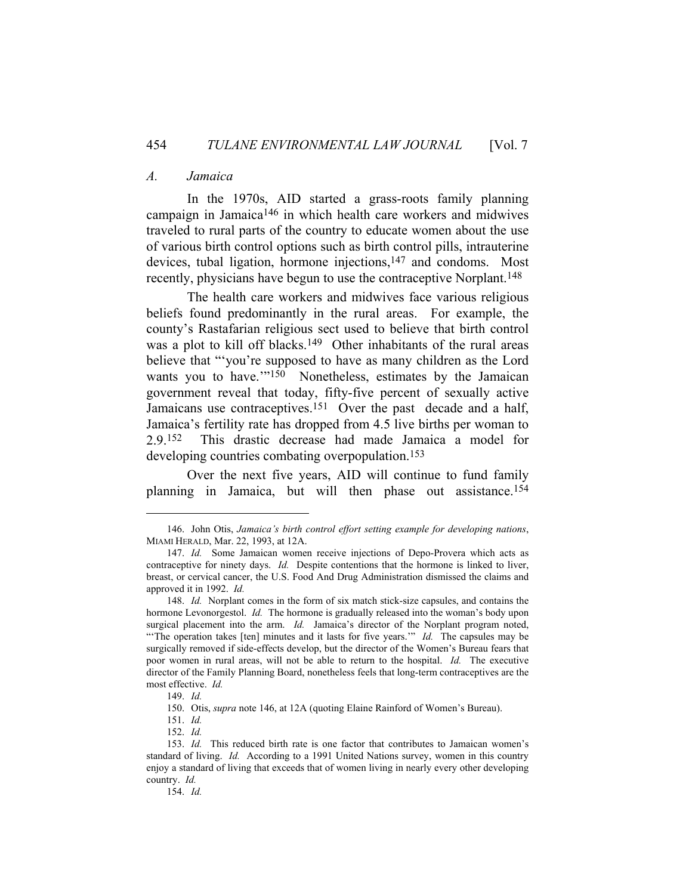### *A. Jamaica*

 In the 1970s, AID started a grass-roots family planning campaign in Jamaica146 in which health care workers and midwives traveled to rural parts of the country to educate women about the use of various birth control options such as birth control pills, intrauterine devices, tubal ligation, hormone injections,147 and condoms. Most recently, physicians have begun to use the contraceptive Norplant.148

 The health care workers and midwives face various religious beliefs found predominantly in the rural areas. For example, the county's Rastafarian religious sect used to believe that birth control was a plot to kill off blacks.<sup>149</sup> Other inhabitants of the rural areas believe that "'you're supposed to have as many children as the Lord wants you to have."<sup>150</sup> Nonetheless, estimates by the Jamaican government reveal that today, fifty-five percent of sexually active Jamaicans use contraceptives.<sup>151</sup> Over the past decade and a half, Jamaica's fertility rate has dropped from 4.5 live births per woman to 2.9.152 This drastic decrease had made Jamaica a model for developing countries combating overpopulation.<sup>153</sup>

 Over the next five years, AID will continue to fund family planning in Jamaica, but will then phase out assistance.154

 <sup>146.</sup> John Otis, *Jamaica's birth control effort setting example for developing nations*, MIAMI HERALD, Mar. 22, 1993, at 12A.

 <sup>147.</sup> *Id.* Some Jamaican women receive injections of Depo-Provera which acts as contraceptive for ninety days. *Id.* Despite contentions that the hormone is linked to liver, breast, or cervical cancer, the U.S. Food And Drug Administration dismissed the claims and approved it in 1992. *Id.*

 <sup>148.</sup> *Id.* Norplant comes in the form of six match stick-size capsules, and contains the hormone Levonorgestol. *Id.* The hormone is gradually released into the woman's body upon surgical placement into the arm. *Id.* Jamaica's director of the Norplant program noted, "The operation takes [ten] minutes and it lasts for five years."" *Id.* The capsules may be surgically removed if side-effects develop, but the director of the Women's Bureau fears that poor women in rural areas, will not be able to return to the hospital. *Id.* The executive director of the Family Planning Board, nonetheless feels that long-term contraceptives are the most effective. *Id.* 

 <sup>149.</sup> *Id.*

 <sup>150.</sup> Otis, *supra* note 146, at 12A (quoting Elaine Rainford of Women's Bureau).

 <sup>151.</sup> *Id.*

 <sup>152.</sup> *Id.*

 <sup>153.</sup> *Id.* This reduced birth rate is one factor that contributes to Jamaican women's standard of living. *Id.* According to a 1991 United Nations survey, women in this country enjoy a standard of living that exceeds that of women living in nearly every other developing country. *Id.*

 <sup>154.</sup> *Id.*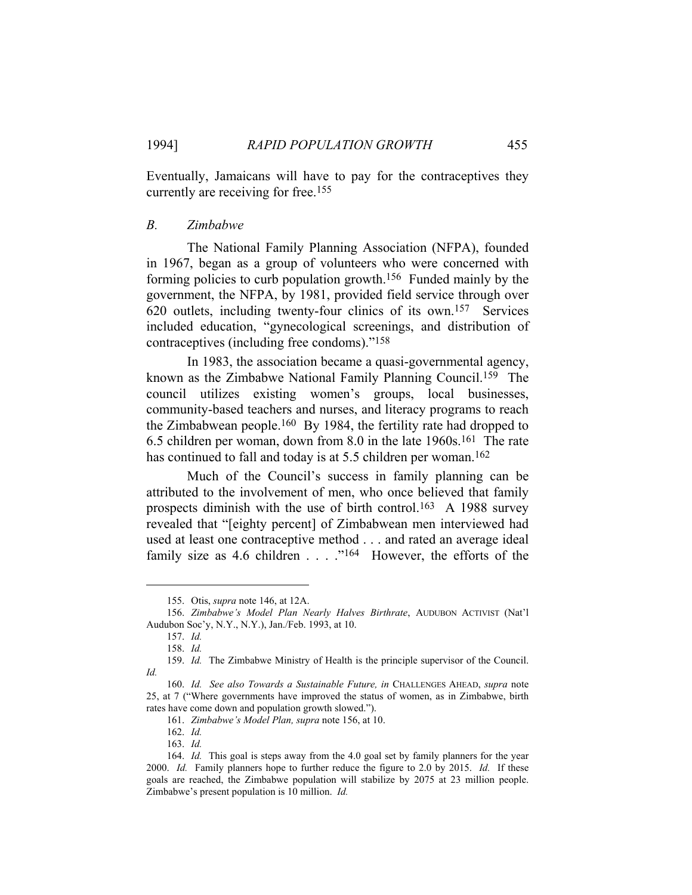Eventually, Jamaicans will have to pay for the contraceptives they currently are receiving for free.155

### *B. Zimbabwe*

 The National Family Planning Association (NFPA), founded in 1967, began as a group of volunteers who were concerned with forming policies to curb population growth.156 Funded mainly by the government, the NFPA, by 1981, provided field service through over 620 outlets, including twenty-four clinics of its own.157 Services included education, "gynecological screenings, and distribution of contraceptives (including free condoms)."158

 In 1983, the association became a quasi-governmental agency, known as the Zimbabwe National Family Planning Council.159 The council utilizes existing women's groups, local businesses, community-based teachers and nurses, and literacy programs to reach the Zimbabwean people.160 By 1984, the fertility rate had dropped to 6.5 children per woman, down from 8.0 in the late 1960s.161 The rate has continued to fall and today is at 5.5 children per woman.<sup>162</sup>

 Much of the Council's success in family planning can be attributed to the involvement of men, who once believed that family prospects diminish with the use of birth control.<sup>163</sup> A 1988 survey revealed that "[eighty percent] of Zimbabwean men interviewed had used at least one contraceptive method . . . and rated an average ideal family size as 4.6 children  $\dots$  ."<sup>164</sup> However, the efforts of the

 <sup>155.</sup> Otis, *supra* note 146, at 12A.

 <sup>156.</sup> *Zimbabwe's Model Plan Nearly Halves Birthrate*, AUDUBON ACTIVIST (Nat'l Audubon Soc'y, N.Y., N.Y.), Jan./Feb. 1993, at 10.

 <sup>157.</sup> *Id.*

 <sup>158.</sup> *Id.*

 <sup>159.</sup> *Id.* The Zimbabwe Ministry of Health is the principle supervisor of the Council. *Id.*

 <sup>160.</sup> *Id. See also Towards a Sustainable Future, in* CHALLENGES AHEAD, *supra* note 25, at 7 ("Where governments have improved the status of women, as in Zimbabwe, birth rates have come down and population growth slowed.").

 <sup>161.</sup> *Zimbabwe's Model Plan, supra* note 156, at 10.

 <sup>162.</sup> *Id.* 

 <sup>163.</sup> *Id.*

 <sup>164.</sup> *Id.* This goal is steps away from the 4.0 goal set by family planners for the year 2000. *Id.* Family planners hope to further reduce the figure to 2.0 by 2015. *Id.* If these goals are reached, the Zimbabwe population will stabilize by 2075 at 23 million people. Zimbabwe's present population is 10 million. *Id.*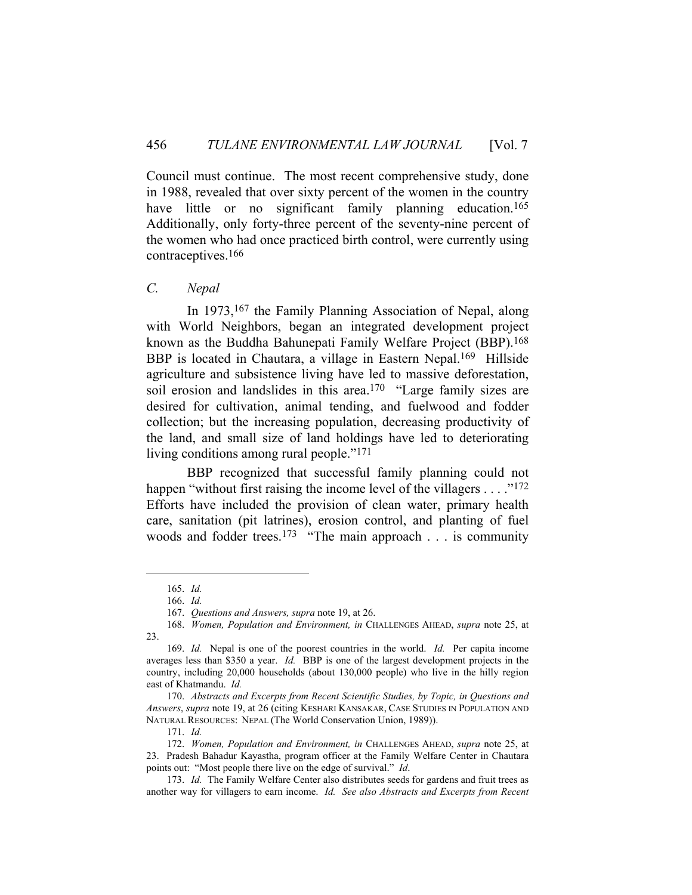Council must continue. The most recent comprehensive study, done in 1988, revealed that over sixty percent of the women in the country have little or no significant family planning education.<sup>165</sup> Additionally, only forty-three percent of the seventy-nine percent of the women who had once practiced birth control, were currently using contraceptives.166

# *C. Nepal*

In 1973,<sup>167</sup> the Family Planning Association of Nepal, along with World Neighbors, began an integrated development project known as the Buddha Bahunepati Family Welfare Project (BBP).168 BBP is located in Chautara, a village in Eastern Nepal.169 Hillside agriculture and subsistence living have led to massive deforestation, soil erosion and landslides in this area.170 "Large family sizes are desired for cultivation, animal tending, and fuelwood and fodder collection; but the increasing population, decreasing productivity of the land, and small size of land holdings have led to deteriorating living conditions among rural people."171

 BBP recognized that successful family planning could not happen "without first raising the income level of the villagers . . . ."<sup>172</sup> Efforts have included the provision of clean water, primary health care, sanitation (pit latrines), erosion control, and planting of fuel woods and fodder trees.<sup>173</sup> "The main approach  $\dots$  is community

 <sup>165.</sup> *Id.*

 <sup>166.</sup> *Id.* 

 <sup>167.</sup> *Questions and Answers, supra* note 19, at 26.

 <sup>168.</sup> *Women, Population and Environment, in* CHALLENGES AHEAD, *supra* note 25, at 23.

 <sup>169.</sup> *Id.* Nepal is one of the poorest countries in the world. *Id.* Per capita income averages less than \$350 a year. *Id.* BBP is one of the largest development projects in the country, including 20,000 households (about 130,000 people) who live in the hilly region east of Khatmandu. *Id.* 

 <sup>170.</sup> *Abstracts and Excerpts from Recent Scientific Studies, by Topic, in Questions and Answers*, *supra* note 19, at 26 (citing KESHARI KANSAKAR, CASE STUDIES IN POPULATION AND NATURAL RESOURCES: NEPAL (The World Conservation Union, 1989)).

 <sup>171.</sup> *Id.*

 <sup>172.</sup> *Women, Population and Environment, in* CHALLENGES AHEAD, *supra* note 25, at 23. Pradesh Bahadur Kayastha, program officer at the Family Welfare Center in Chautara points out: "Most people there live on the edge of survival." *Id*.

 <sup>173.</sup> *Id.* The Family Welfare Center also distributes seeds for gardens and fruit trees as another way for villagers to earn income. *Id. See also Abstracts and Excerpts from Recent*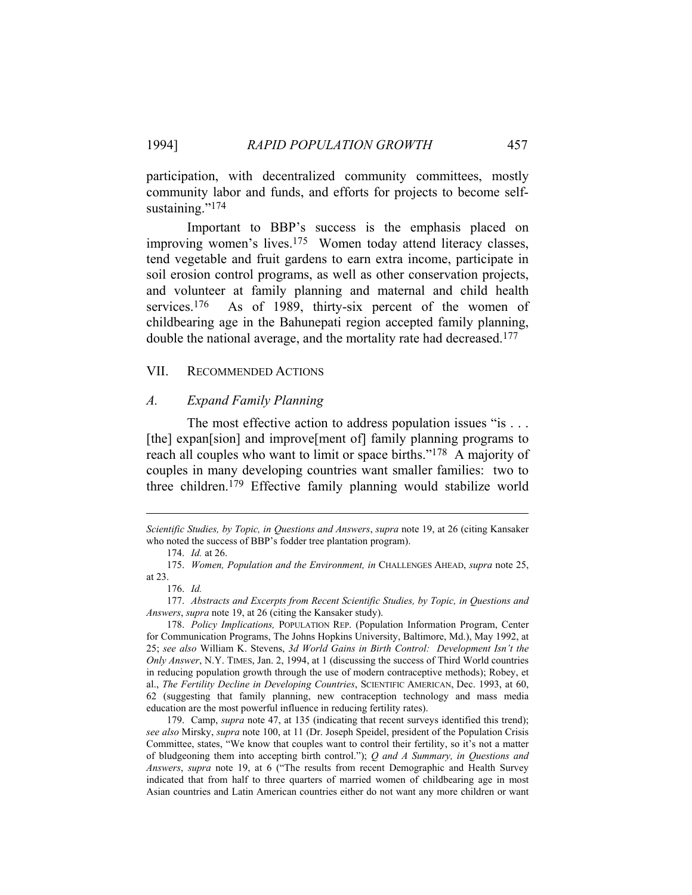participation, with decentralized community committees, mostly community labor and funds, and efforts for projects to become selfsustaining."<sup>174</sup>

 Important to BBP's success is the emphasis placed on improving women's lives.175 Women today attend literacy classes, tend vegetable and fruit gardens to earn extra income, participate in soil erosion control programs, as well as other conservation projects, and volunteer at family planning and maternal and child health services.<sup>176</sup> As of 1989, thirty-six percent of the women of childbearing age in the Bahunepati region accepted family planning, double the national average, and the mortality rate had decreased.177

### VII. RECOMMENDED ACTIONS

#### *A. Expand Family Planning*

The most effective action to address population issues "is . . . [the] expansion] and improve [ment of] family planning programs to reach all couples who want to limit or space births."178 A majority of couples in many developing countries want smaller families: two to three children.179 Effective family planning would stabilize world

*Scientific Studies, by Topic, in Questions and Answers*, *supra* note 19, at 26 (citing Kansaker who noted the success of BBP's fodder tree plantation program).

 <sup>174.</sup> *Id.* at 26.

 <sup>175.</sup> *Women, Population and the Environment, in* CHALLENGES AHEAD, *supra* note 25, at 23.

 <sup>176.</sup> *Id.*

 <sup>177.</sup> *Abstracts and Excerpts from Recent Scientific Studies, by Topic, in Questions and Answers*, *supra* note 19, at 26 (citing the Kansaker study).

 <sup>178.</sup> *Policy Implications,* POPULATION REP. (Population Information Program, Center for Communication Programs, The Johns Hopkins University, Baltimore, Md.), May 1992, at 25; *see also* William K. Stevens, *3d World Gains in Birth Control: Development Isn't the Only Answer*, N.Y. TIMES, Jan. 2, 1994, at 1 (discussing the success of Third World countries in reducing population growth through the use of modern contraceptive methods); Robey, et al., *The Fertility Decline in Developing Countries*, SCIENTIFIC AMERICAN, Dec. 1993, at 60, 62 (suggesting that family planning, new contraception technology and mass media education are the most powerful influence in reducing fertility rates).

 <sup>179.</sup> Camp, *supra* note 47, at 135 (indicating that recent surveys identified this trend); *see also* Mirsky, *supra* note 100, at 11 (Dr. Joseph Speidel, president of the Population Crisis Committee, states, "We know that couples want to control their fertility, so it's not a matter of bludgeoning them into accepting birth control."); *Q and A Summary, in Questions and Answers*, *supra* note 19, at 6 ("The results from recent Demographic and Health Survey indicated that from half to three quarters of married women of childbearing age in most Asian countries and Latin American countries either do not want any more children or want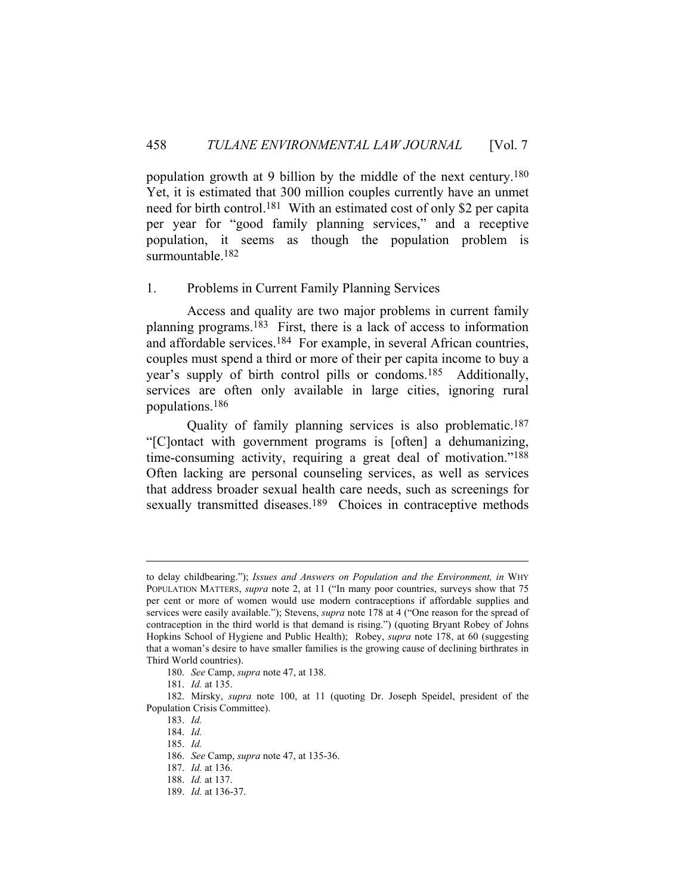population growth at 9 billion by the middle of the next century.180 Yet, it is estimated that 300 million couples currently have an unmet need for birth control.181 With an estimated cost of only \$2 per capita per year for "good family planning services," and a receptive population, it seems as though the population problem is surmountable.182

### 1. Problems in Current Family Planning Services

 Access and quality are two major problems in current family planning programs.183 First, there is a lack of access to information and affordable services.184 For example, in several African countries, couples must spend a third or more of their per capita income to buy a year's supply of birth control pills or condoms.185 Additionally, services are often only available in large cities, ignoring rural populations.186

 Quality of family planning services is also problematic.187 "[C]ontact with government programs is [often] a dehumanizing, time-consuming activity, requiring a great deal of motivation."188 Often lacking are personal counseling services, as well as services that address broader sexual health care needs, such as screenings for sexually transmitted diseases.<sup>189</sup> Choices in contraceptive methods

to delay childbearing."); *Issues and Answers on Population and the Environment, in* WHY POPULATION MATTERS, *supra* note 2, at 11 ("In many poor countries, surveys show that 75 per cent or more of women would use modern contraceptions if affordable supplies and services were easily available."); Stevens, *supra* note 178 at 4 ("One reason for the spread of contraception in the third world is that demand is rising.") (quoting Bryant Robey of Johns Hopkins School of Hygiene and Public Health); Robey, *supra* note 178, at 60 (suggesting that a woman's desire to have smaller families is the growing cause of declining birthrates in Third World countries).

 <sup>180.</sup> *See* Camp, *supra* note 47, at 138.

 <sup>181.</sup> *Id.* at 135.

 <sup>182.</sup> Mirsky, *supra* note 100, at 11 (quoting Dr. Joseph Speidel, president of the Population Crisis Committee).

 <sup>183.</sup> *Id.*

 <sup>184.</sup> *Id.*

 <sup>185.</sup> *Id.*

 <sup>186.</sup> *See* Camp, *supra* note 47, at 135-36.

 <sup>187.</sup> *Id.* at 136.

 <sup>188.</sup> *Id.* at 137.

 <sup>189.</sup> *Id.* at 136-37.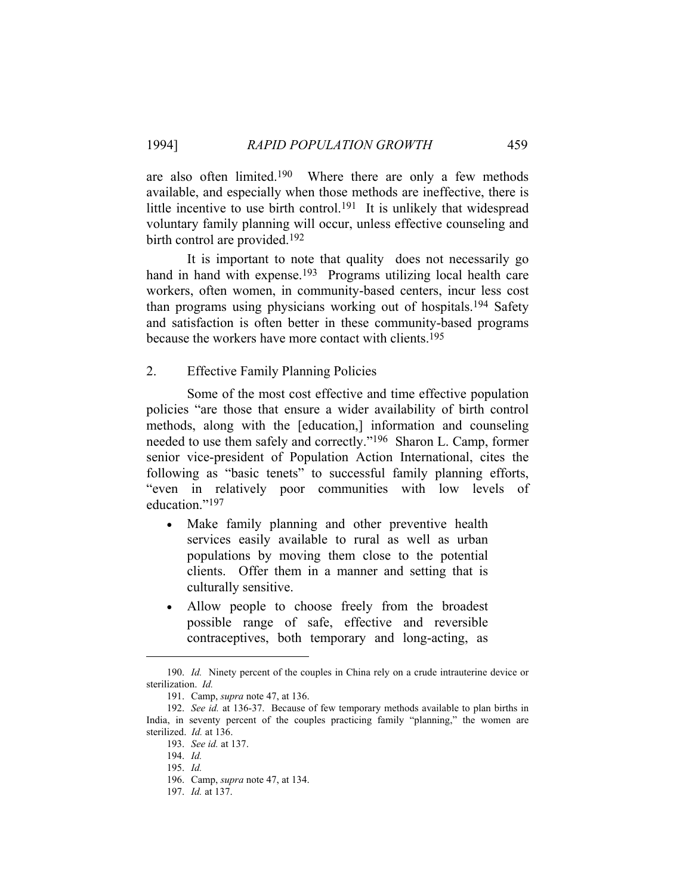are also often limited.190 Where there are only a few methods available, and especially when those methods are ineffective, there is little incentive to use birth control.191 It is unlikely that widespread voluntary family planning will occur, unless effective counseling and birth control are provided.<sup>192</sup>

 It is important to note that quality does not necessarily go hand in hand with expense.<sup>193</sup> Programs utilizing local health care workers, often women, in community-based centers, incur less cost than programs using physicians working out of hospitals.194 Safety and satisfaction is often better in these community-based programs because the workers have more contact with clients.195

2. Effective Family Planning Policies

 Some of the most cost effective and time effective population policies "are those that ensure a wider availability of birth control methods, along with the [education,] information and counseling needed to use them safely and correctly."196 Sharon L. Camp, former senior vice-president of Population Action International, cites the following as "basic tenets" to successful family planning efforts, "even in relatively poor communities with low levels of education."<sup>197</sup>

- Make family planning and other preventive health services easily available to rural as well as urban populations by moving them close to the potential clients. Offer them in a manner and setting that is culturally sensitive.
- Allow people to choose freely from the broadest possible range of safe, effective and reversible contraceptives, both temporary and long-acting, as

 <sup>190.</sup> *Id.* Ninety percent of the couples in China rely on a crude intrauterine device or sterilization. *Id.*

 <sup>191.</sup> Camp, *supra* note 47, at 136.

 <sup>192.</sup> *See id.* at 136-37.Because of few temporary methods available to plan births in India, in seventy percent of the couples practicing family "planning," the women are sterilized. *Id.* at 136.

 <sup>193.</sup> *See id.* at 137.

 <sup>194.</sup> *Id.*

 <sup>195.</sup> *Id.*

 <sup>196.</sup> Camp, *supra* note 47, at 134.

 <sup>197.</sup> *Id.* at 137.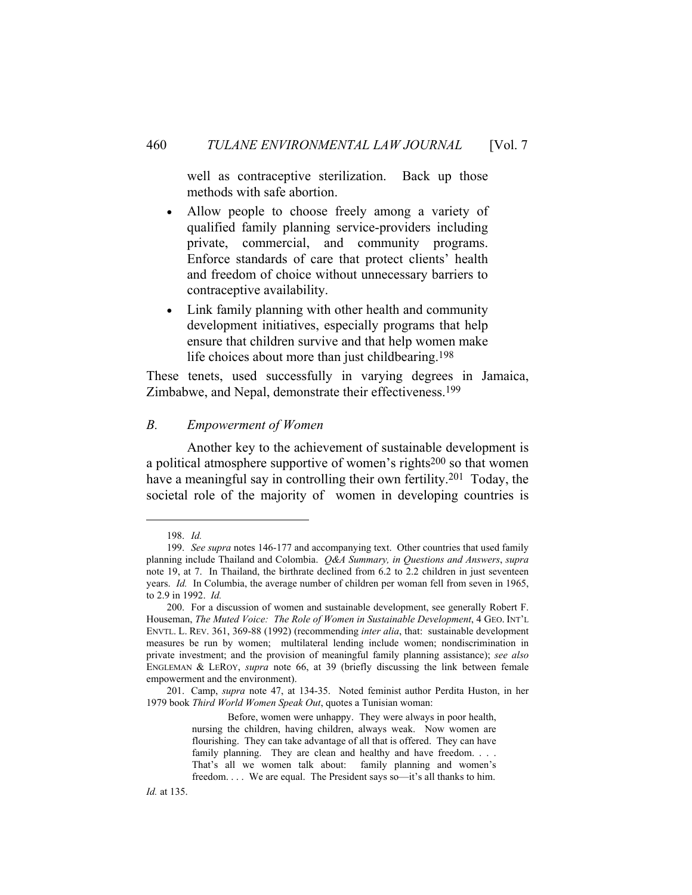well as contraceptive sterilization. Back up those methods with safe abortion.

- Allow people to choose freely among a variety of qualified family planning service-providers including private, commercial, and community programs. Enforce standards of care that protect clients' health and freedom of choice without unnecessary barriers to contraceptive availability.
- Link family planning with other health and community development initiatives, especially programs that help ensure that children survive and that help women make life choices about more than just childbearing.198

These tenets, used successfully in varying degrees in Jamaica, Zimbabwe, and Nepal, demonstrate their effectiveness.199

## *B. Empowerment of Women*

 Another key to the achievement of sustainable development is a political atmosphere supportive of women's rights200 so that women have a meaningful say in controlling their own fertility.<sup>201</sup> Today, the societal role of the majority of women in developing countries is

 <sup>198.</sup> *Id.*

 <sup>199.</sup> *See supra* notes 146-177 and accompanying text. Other countries that used family planning include Thailand and Colombia. *Q&A Summary, in Questions and Answers*, *supra* note 19, at 7. In Thailand, the birthrate declined from 6.2 to 2.2 children in just seventeen years. *Id.* In Columbia, the average number of children per woman fell from seven in 1965, to 2.9 in 1992. *Id.*

 <sup>200.</sup> For a discussion of women and sustainable development, see generally Robert F. Houseman, *The Muted Voice: The Role of Women in Sustainable Development*, 4 GEO. INT'L ENVTL. L. REV. 361, 369-88 (1992) (recommending *inter alia*, that: sustainable development measures be run by women; multilateral lending include women; nondiscrimination in private investment; and the provision of meaningful family planning assistance); *see also* ENGLEMAN & LEROY, *supra* note 66, at 39 (briefly discussing the link between female empowerment and the environment).

 <sup>201.</sup> Camp, *supra* note 47, at 134-35. Noted feminist author Perdita Huston, in her 1979 book *Third World Women Speak Out*, quotes a Tunisian woman:

Before, women were unhappy. They were always in poor health, nursing the children, having children, always weak. Now women are flourishing. They can take advantage of all that is offered. They can have family planning. They are clean and healthy and have freedom. . . . That's all we women talk about: family planning and women's freedom. . . . We are equal. The President says so—it's all thanks to him.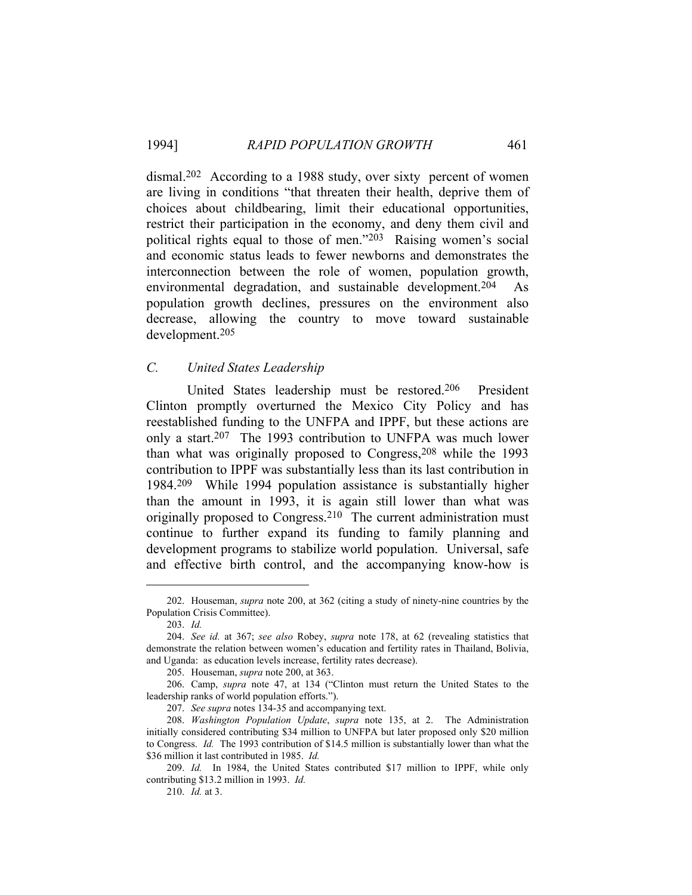dismal.202 According to a 1988 study, over sixty percent of women are living in conditions "that threaten their health, deprive them of choices about childbearing, limit their educational opportunities, restrict their participation in the economy, and deny them civil and political rights equal to those of men."203 Raising women's social and economic status leads to fewer newborns and demonstrates the interconnection between the role of women, population growth, environmental degradation, and sustainable development.204 As population growth declines, pressures on the environment also decrease, allowing the country to move toward sustainable development.205

# *C. United States Leadership*

 United States leadership must be restored.206 President Clinton promptly overturned the Mexico City Policy and has reestablished funding to the UNFPA and IPPF, but these actions are only a start.<sup>207</sup> The 1993 contribution to UNFPA was much lower than what was originally proposed to Congress,208 while the 1993 contribution to IPPF was substantially less than its last contribution in 1984.209 While 1994 population assistance is substantially higher than the amount in 1993, it is again still lower than what was originally proposed to Congress.210 The current administration must continue to further expand its funding to family planning and development programs to stabilize world population. Universal, safe and effective birth control, and the accompanying know-how is

 <sup>202.</sup> Houseman, *supra* note 200, at 362 (citing a study of ninety-nine countries by the Population Crisis Committee).

 <sup>203.</sup> *Id.*

 <sup>204.</sup> *See id.* at 367; *see also* Robey, *supra* note 178, at 62 (revealing statistics that demonstrate the relation between women's education and fertility rates in Thailand, Bolivia, and Uganda: as education levels increase, fertility rates decrease).

 <sup>205.</sup> Houseman, *supra* note 200, at 363.

 <sup>206.</sup> Camp, *supra* note 47, at 134 ("Clinton must return the United States to the leadership ranks of world population efforts.").

 <sup>207.</sup> *See supra* notes 134-35 and accompanying text.

 <sup>208.</sup> *Washington Population Update*, *supra* note 135, at 2. The Administration initially considered contributing \$34 million to UNFPA but later proposed only \$20 million to Congress. *Id.* The 1993 contribution of \$14.5 million is substantially lower than what the \$36 million it last contributed in 1985. *Id.*

 <sup>209.</sup> *Id.* In 1984, the United States contributed \$17 million to IPPF, while only contributing \$13.2 million in 1993. *Id.*

 <sup>210.</sup> *Id.* at 3.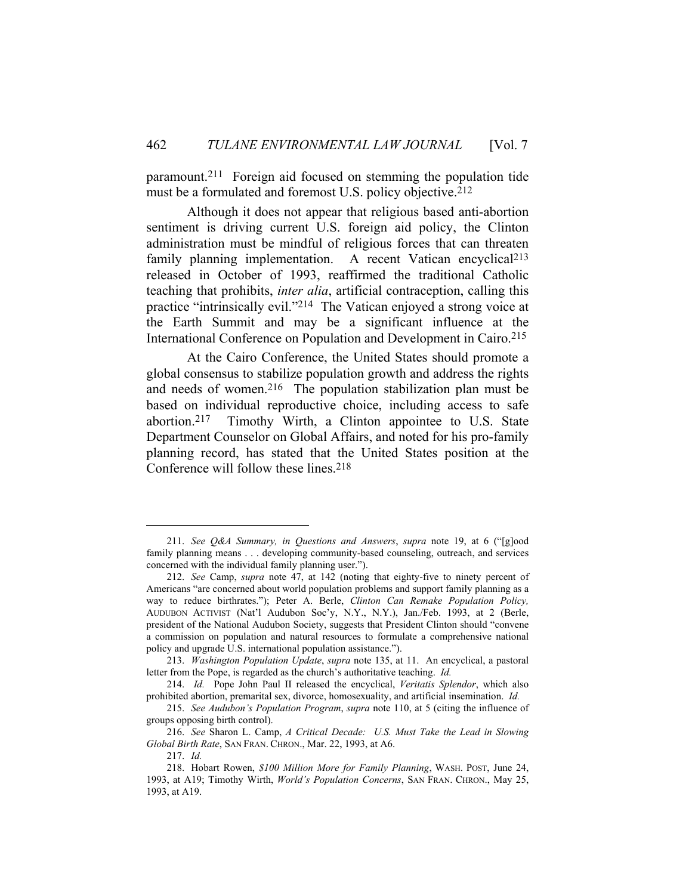paramount.211 Foreign aid focused on stemming the population tide must be a formulated and foremost U.S. policy objective.212

 Although it does not appear that religious based anti-abortion sentiment is driving current U.S. foreign aid policy, the Clinton administration must be mindful of religious forces that can threaten family planning implementation. A recent Vatican encyclical<sup>213</sup> released in October of 1993, reaffirmed the traditional Catholic teaching that prohibits, *inter alia*, artificial contraception, calling this practice "intrinsically evil."214 The Vatican enjoyed a strong voice at the Earth Summit and may be a significant influence at the International Conference on Population and Development in Cairo. 215

 At the Cairo Conference, the United States should promote a global consensus to stabilize population growth and address the rights and needs of women.216 The population stabilization plan must be based on individual reproductive choice, including access to safe abortion.217 Timothy Wirth, a Clinton appointee to U.S. State Department Counselor on Global Affairs, and noted for his pro-family planning record, has stated that the United States position at the Conference will follow these lines.218

 <sup>211.</sup> *See Q&A Summary, in Questions and Answers*, *supra* note 19, at 6 ("[g]ood family planning means . . . developing community-based counseling, outreach, and services concerned with the individual family planning user.").

 <sup>212.</sup> *See* Camp, *supra* note 47, at 142 (noting that eighty-five to ninety percent of Americans "are concerned about world population problems and support family planning as a way to reduce birthrates."); Peter A. Berle, *Clinton Can Remake Population Policy,*  AUDUBON ACTIVIST (Nat'l Audubon Soc'y, N.Y., N.Y.), Jan./Feb. 1993, at 2 (Berle, president of the National Audubon Society, suggests that President Clinton should "convene a commission on population and natural resources to formulate a comprehensive national policy and upgrade U.S. international population assistance.").

 <sup>213.</sup> *Washington Population Update*, *supra* note 135, at 11. An encyclical, a pastoral letter from the Pope, is regarded as the church's authoritative teaching. *Id.*

 <sup>214.</sup> *Id.* Pope John Paul II released the encyclical, *Veritatis Splendor*, which also prohibited abortion, premarital sex, divorce, homosexuality, and artificial insemination. *Id.*

 <sup>215.</sup> *See Audubon's Population Program*, *supra* note 110, at 5 (citing the influence of groups opposing birth control).

 <sup>216.</sup> *See* Sharon L. Camp, *A Critical Decade: U.S. Must Take the Lead in Slowing Global Birth Rate*, SAN FRAN. CHRON., Mar. 22, 1993, at A6.

 <sup>217.</sup> *Id.*

 <sup>218.</sup> Hobart Rowen, *\$100 Million More for Family Planning*, WASH. POST, June 24, 1993, at A19; Timothy Wirth, *World's Population Concerns*, SAN FRAN. CHRON., May 25, 1993, at A19.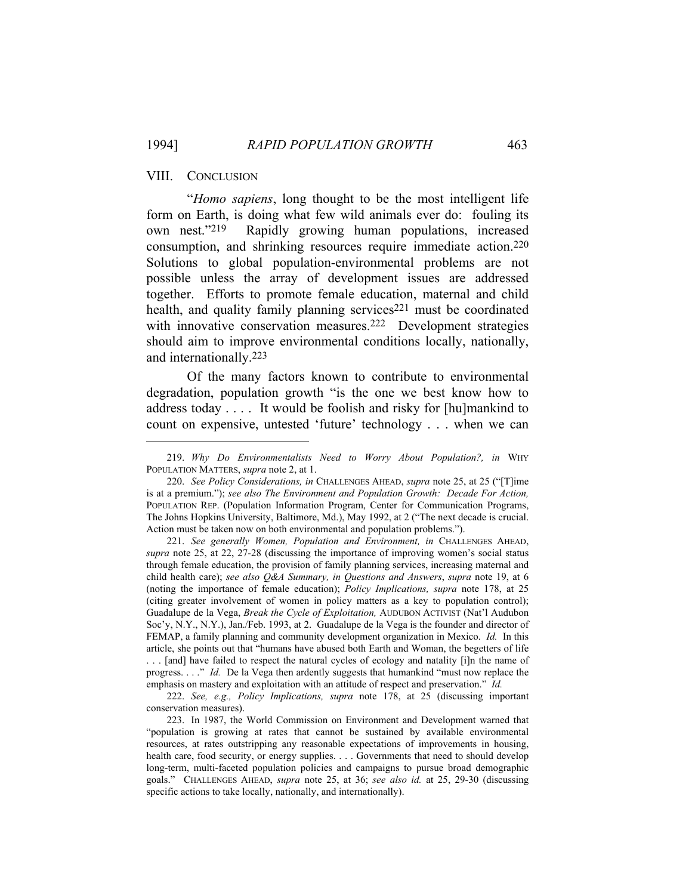# VIII. CONCLUSION

 "*Homo sapiens*, long thought to be the most intelligent life form on Earth, is doing what few wild animals ever do: fouling its own nest."219 Rapidly growing human populations, increased consumption, and shrinking resources require immediate action.220 Solutions to global population-environmental problems are not possible unless the array of development issues are addressed together. Efforts to promote female education, maternal and child health, and quality family planning services<sup>221</sup> must be coordinated with innovative conservation measures.<sup>222</sup> Development strategies should aim to improve environmental conditions locally, nationally, and internationally.223

 Of the many factors known to contribute to environmental degradation, population growth "is the one we best know how to address today . . . . It would be foolish and risky for [hu]mankind to count on expensive, untested 'future' technology . . . when we can

 221. *See generally Women, Population and Environment, in* CHALLENGES AHEAD, *supra* note 25, at 22, 27-28 (discussing the importance of improving women's social status through female education, the provision of family planning services, increasing maternal and child health care); *see also Q&A Summary, in Questions and Answers*, *supra* note 19, at 6 (noting the importance of female education); *Policy Implications, supra* note 178, at 25 (citing greater involvement of women in policy matters as a key to population control); Guadalupe de la Vega, *Break the Cycle of Exploitation,* AUDUBON ACTIVIST (Nat'l Audubon Soc'y, N.Y., N.Y.), Jan./Feb. 1993, at 2. Guadalupe de la Vega is the founder and director of FEMAP, a family planning and community development organization in Mexico. *Id.* In this article, she points out that "humans have abused both Earth and Woman, the begetters of life . . . [and] have failed to respect the natural cycles of ecology and natality [i]n the name of progress. . . ." *Id.* De la Vega then ardently suggests that humankind "must now replace the emphasis on mastery and exploitation with an attitude of respect and preservation." *Id.*

 222. *See, e.g., Policy Implications, supra* note 178, at 25 (discussing important conservation measures).

 223. In 1987, the World Commission on Environment and Development warned that "population is growing at rates that cannot be sustained by available environmental resources, at rates outstripping any reasonable expectations of improvements in housing, health care, food security, or energy supplies. . . . Governments that need to should develop long-term, multi-faceted population policies and campaigns to pursue broad demographic goals." CHALLENGES AHEAD, *supra* note 25, at 36; *see also id.* at 25, 29-30 (discussing specific actions to take locally, nationally, and internationally).

 <sup>219.</sup> *Why Do Environmentalists Need to Worry About Population?, in* WHY POPULATION MATTERS, *supra* note 2, at 1.

 <sup>220.</sup> *See Policy Considerations, in* CHALLENGES AHEAD, *supra* note 25, at 25 ("[T]ime is at a premium."); *see also The Environment and Population Growth: Decade For Action,*  POPULATION REP. (Population Information Program, Center for Communication Programs, The Johns Hopkins University, Baltimore, Md.), May 1992, at 2 ("The next decade is crucial. Action must be taken now on both environmental and population problems.").